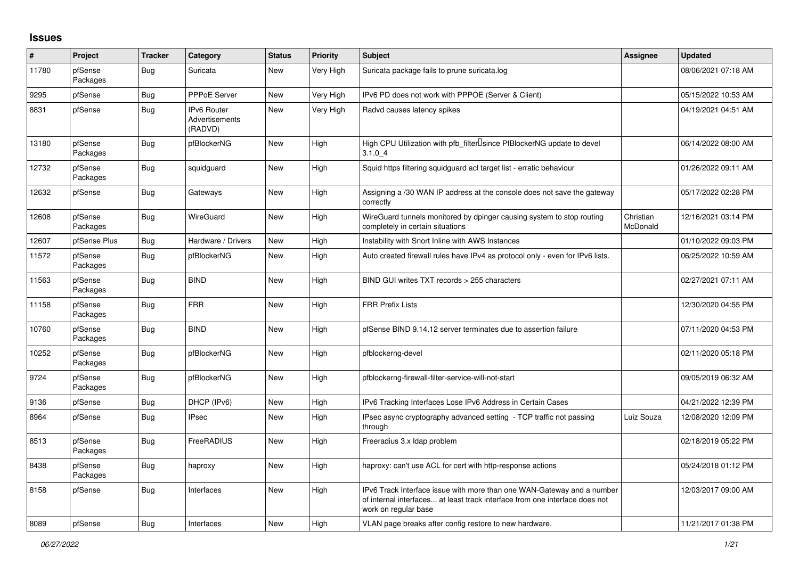## **Issues**

| #     | Project             | <b>Tracker</b> | Category                                               | <b>Status</b> | <b>Priority</b> | <b>Subject</b>                                                                                                                                                                | <b>Assignee</b>       | <b>Updated</b>      |
|-------|---------------------|----------------|--------------------------------------------------------|---------------|-----------------|-------------------------------------------------------------------------------------------------------------------------------------------------------------------------------|-----------------------|---------------------|
| 11780 | pfSense<br>Packages | Bug            | Suricata                                               | New           | Very High       | Suricata package fails to prune suricata.log                                                                                                                                  |                       | 08/06/2021 07:18 AM |
| 9295  | pfSense             | <b>Bug</b>     | <b>PPPoE Server</b>                                    | New           | Very High       | IPv6 PD does not work with PPPOE (Server & Client)                                                                                                                            |                       | 05/15/2022 10:53 AM |
| 8831  | pfSense             | <b>Bug</b>     | <b>IPv6 Router</b><br><b>Advertisements</b><br>(RADVD) | <b>New</b>    | Very High       | Radvd causes latency spikes                                                                                                                                                   |                       | 04/19/2021 04:51 AM |
| 13180 | pfSense<br>Packages | Bug            | pfBlockerNG                                            | <b>New</b>    | High            | High CPU Utilization with pfb filter Isince PfBlockerNG update to devel<br>3.1.04                                                                                             |                       | 06/14/2022 08:00 AM |
| 12732 | pfSense<br>Packages | <b>Bug</b>     | squidguard                                             | New           | High            | Squid https filtering squidguard acl target list - erratic behaviour                                                                                                          |                       | 01/26/2022 09:11 AM |
| 12632 | pfSense             | <b>Bug</b>     | Gateways                                               | New           | High            | Assigning a /30 WAN IP address at the console does not save the gateway<br>correctly                                                                                          |                       | 05/17/2022 02:28 PM |
| 12608 | pfSense<br>Packages | Bug            | WireGuard                                              | New           | High            | WireGuard tunnels monitored by dpinger causing system to stop routing<br>completely in certain situations                                                                     | Christian<br>McDonald | 12/16/2021 03:14 PM |
| 12607 | pfSense Plus        | <b>Bug</b>     | Hardware / Drivers                                     | New           | High            | Instability with Snort Inline with AWS Instances                                                                                                                              |                       | 01/10/2022 09:03 PM |
| 11572 | pfSense<br>Packages | <b>Bug</b>     | pfBlockerNG                                            | New           | High            | Auto created firewall rules have IPv4 as protocol only - even for IPv6 lists.                                                                                                 |                       | 06/25/2022 10:59 AM |
| 11563 | pfSense<br>Packages | <b>Bug</b>     | <b>BIND</b>                                            | New           | High            | BIND GUI writes TXT records > 255 characters                                                                                                                                  |                       | 02/27/2021 07:11 AM |
| 11158 | pfSense<br>Packages | <b>Bug</b>     | <b>FRR</b>                                             | <b>New</b>    | High            | <b>FRR Prefix Lists</b>                                                                                                                                                       |                       | 12/30/2020 04:55 PM |
| 10760 | pfSense<br>Packages | <b>Bug</b>     | <b>BIND</b>                                            | New           | High            | pfSense BIND 9.14.12 server terminates due to assertion failure                                                                                                               |                       | 07/11/2020 04:53 PM |
| 10252 | pfSense<br>Packages | <b>Bug</b>     | pfBlockerNG                                            | New           | High            | pfblockerng-devel                                                                                                                                                             |                       | 02/11/2020 05:18 PM |
| 9724  | pfSense<br>Packages | <b>Bug</b>     | pfBlockerNG                                            | <b>New</b>    | High            | pfblockerng-firewall-filter-service-will-not-start                                                                                                                            |                       | 09/05/2019 06:32 AM |
| 9136  | pfSense             | Bug            | DHCP (IPv6)                                            | New           | High            | IPv6 Tracking Interfaces Lose IPv6 Address in Certain Cases                                                                                                                   |                       | 04/21/2022 12:39 PM |
| 8964  | pfSense             | Bug            | <b>IPsec</b>                                           | New           | High            | IPsec async cryptography advanced setting - TCP traffic not passing<br>through                                                                                                | Luiz Souza            | 12/08/2020 12:09 PM |
| 8513  | pfSense<br>Packages | <b>Bug</b>     | FreeRADIUS                                             | New           | High            | Freeradius 3.x Idap problem                                                                                                                                                   |                       | 02/18/2019 05:22 PM |
| 8438  | pfSense<br>Packages | Bug            | haproxy                                                | <b>New</b>    | High            | haproxy: can't use ACL for cert with http-response actions                                                                                                                    |                       | 05/24/2018 01:12 PM |
| 8158  | pfSense             | <b>Bug</b>     | Interfaces                                             | New           | High            | IPv6 Track Interface issue with more than one WAN-Gateway and a number<br>of internal interfaces at least track interface from one interface does not<br>work on regular base |                       | 12/03/2017 09:00 AM |
| 8089  | pfSense             | Bug            | Interfaces                                             | <b>New</b>    | Hiah            | VLAN page breaks after config restore to new hardware.                                                                                                                        |                       | 11/21/2017 01:38 PM |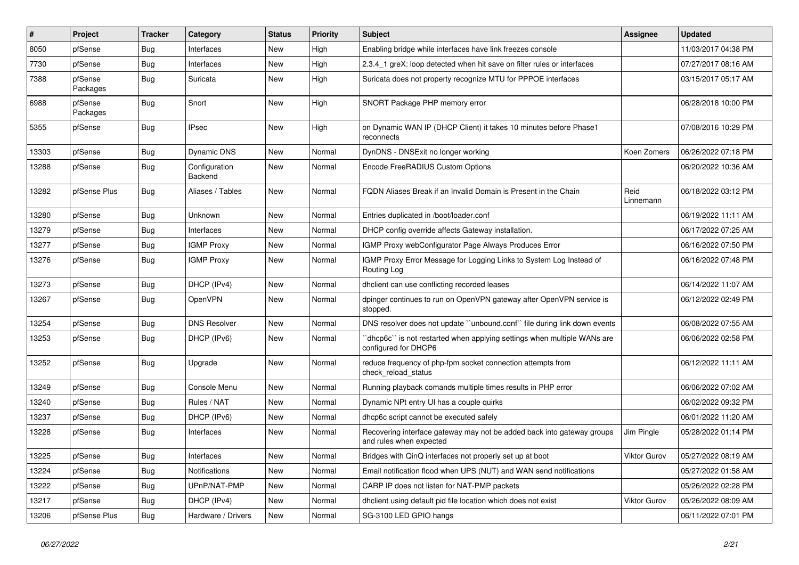| $\sharp$ | Project             | <b>Tracker</b> | Category                 | <b>Status</b> | <b>Priority</b> | <b>Subject</b>                                                                                    | Assignee            | <b>Updated</b>      |
|----------|---------------------|----------------|--------------------------|---------------|-----------------|---------------------------------------------------------------------------------------------------|---------------------|---------------------|
| 8050     | pfSense             | <b>Bug</b>     | Interfaces               | <b>New</b>    | High            | Enabling bridge while interfaces have link freezes console                                        |                     | 11/03/2017 04:38 PM |
| 7730     | pfSense             | <b>Bug</b>     | Interfaces               | <b>New</b>    | High            | 2.3.4 1 greX: loop detected when hit save on filter rules or interfaces                           |                     | 07/27/2017 08:16 AM |
| 7388     | pfSense<br>Packages | Bug            | Suricata                 | New           | High            | Suricata does not property recognize MTU for PPPOE interfaces                                     |                     | 03/15/2017 05:17 AM |
| 6988     | pfSense<br>Packages | Bug            | Snort                    | New           | High            | SNORT Package PHP memory error                                                                    |                     | 06/28/2018 10:00 PM |
| 5355     | pfSense             | <b>Bug</b>     | <b>IPsec</b>             | New           | High            | on Dynamic WAN IP (DHCP Client) it takes 10 minutes before Phase1<br>reconnects                   |                     | 07/08/2016 10:29 PM |
| 13303    | pfSense             | <b>Bug</b>     | Dynamic DNS              | New           | Normal          | DynDNS - DNSExit no longer working                                                                | Koen Zomers         | 06/26/2022 07:18 PM |
| 13288    | pfSense             | Bug            | Configuration<br>Backend | New           | Normal          | Encode FreeRADIUS Custom Options                                                                  |                     | 06/20/2022 10:36 AM |
| 13282    | pfSense Plus        | Bug            | Aliases / Tables         | New           | Normal          | FQDN Aliases Break if an Invalid Domain is Present in the Chain                                   | Reid<br>Linnemann   | 06/18/2022 03:12 PM |
| 13280    | pfSense             | <b>Bug</b>     | Unknown                  | <b>New</b>    | Normal          | Entries duplicated in /boot/loader.conf                                                           |                     | 06/19/2022 11:11 AM |
| 13279    | pfSense             | <b>Bug</b>     | Interfaces               | New           | Normal          | DHCP config override affects Gateway installation.                                                |                     | 06/17/2022 07:25 AM |
| 13277    | pfSense             | Bug            | <b>IGMP Proxy</b>        | New           | Normal          | IGMP Proxy webConfigurator Page Always Produces Error                                             |                     | 06/16/2022 07:50 PM |
| 13276    | pfSense             | Bug            | <b>IGMP Proxy</b>        | New           | Normal          | IGMP Proxy Error Message for Logging Links to System Log Instead of<br>Routing Log                |                     | 06/16/2022 07:48 PM |
| 13273    | pfSense             | Bug            | DHCP (IPv4)              | New           | Normal          | dhclient can use conflicting recorded leases                                                      |                     | 06/14/2022 11:07 AM |
| 13267    | pfSense             | <b>Bug</b>     | <b>OpenVPN</b>           | New           | Normal          | dpinger continues to run on OpenVPN gateway after OpenVPN service is<br>stopped.                  |                     | 06/12/2022 02:49 PM |
| 13254    | pfSense             | <b>Bug</b>     | <b>DNS Resolver</b>      | New           | Normal          | DNS resolver does not update "unbound.conf" file during link down events                          |                     | 06/08/2022 07:55 AM |
| 13253    | pfSense             | Bug            | DHCP (IPv6)              | New           | Normal          | dhcp6c" is not restarted when applying settings when multiple WANs are<br>configured for DHCP6    |                     | 06/06/2022 02:58 PM |
| 13252    | pfSense             | Bug            | Upgrade                  | New           | Normal          | reduce frequency of php-fpm socket connection attempts from<br>check reload status                |                     | 06/12/2022 11:11 AM |
| 13249    | pfSense             | <b>Bug</b>     | Console Menu             | New           | Normal          | Running playback comands multiple times results in PHP error                                      |                     | 06/06/2022 07:02 AM |
| 13240    | pfSense             | <b>Bug</b>     | Rules / NAT              | New           | Normal          | Dynamic NPt entry UI has a couple quirks                                                          |                     | 06/02/2022 09:32 PM |
| 13237    | pfSense             | Bug            | DHCP (IPv6)              | New           | Normal          | dhcp6c script cannot be executed safely                                                           |                     | 06/01/2022 11:20 AM |
| 13228    | pfSense             | <b>Bug</b>     | Interfaces               | New           | Normal          | Recovering interface gateway may not be added back into gateway groups<br>and rules when expected | Jim Pingle          | 05/28/2022 01:14 PM |
| 13225    | pfSense             | <b>Bug</b>     | Interfaces               | New           | Normal          | Bridges with QinQ interfaces not properly set up at boot                                          | <b>Viktor Gurov</b> | 05/27/2022 08:19 AM |
| 13224    | pfSense             | Bug            | Notifications            | New           | Normal          | Email notification flood when UPS (NUT) and WAN send notifications                                |                     | 05/27/2022 01:58 AM |
| 13222    | pfSense             | Bug            | UPnP/NAT-PMP             | New           | Normal          | CARP IP does not listen for NAT-PMP packets                                                       |                     | 05/26/2022 02:28 PM |
| 13217    | pfSense             | <b>Bug</b>     | DHCP (IPv4)              | New           | Normal          | dholient using default pid file location which does not exist                                     | Viktor Gurov        | 05/26/2022 08:09 AM |
| 13206    | pfSense Plus        | Bug            | Hardware / Drivers       | New           | Normal          | SG-3100 LED GPIO hangs                                                                            |                     | 06/11/2022 07:01 PM |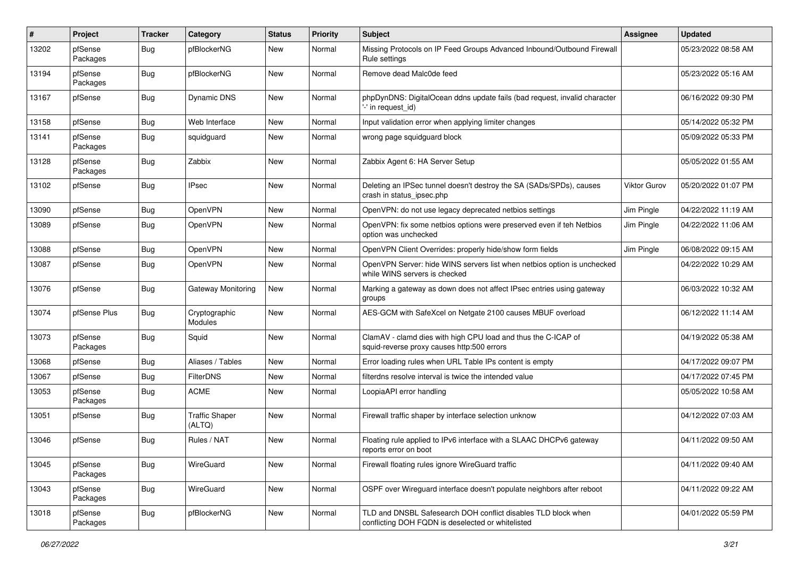| #     | Project             | <b>Tracker</b> | Category                        | <b>Status</b> | <b>Priority</b> | <b>Subject</b>                                                                                                     | Assignee            | <b>Updated</b>      |
|-------|---------------------|----------------|---------------------------------|---------------|-----------------|--------------------------------------------------------------------------------------------------------------------|---------------------|---------------------|
| 13202 | pfSense<br>Packages | <b>Bug</b>     | pfBlockerNG                     | <b>New</b>    | Normal          | Missing Protocols on IP Feed Groups Advanced Inbound/Outbound Firewall<br>Rule settings                            |                     | 05/23/2022 08:58 AM |
| 13194 | pfSense<br>Packages | <b>Bug</b>     | pfBlockerNG                     | <b>New</b>    | Normal          | Remove dead Malc0de feed                                                                                           |                     | 05/23/2022 05:16 AM |
| 13167 | pfSense             | <b>Bug</b>     | <b>Dynamic DNS</b>              | New           | Normal          | phpDynDNS: DigitalOcean ddns update fails (bad request, invalid character<br>'-' in request id)                    |                     | 06/16/2022 09:30 PM |
| 13158 | pfSense             | <b>Bug</b>     | Web Interface                   | New           | Normal          | Input validation error when applying limiter changes                                                               |                     | 05/14/2022 05:32 PM |
| 13141 | pfSense<br>Packages | <b>Bug</b>     | squidguard                      | New           | Normal          | wrong page squidguard block                                                                                        |                     | 05/09/2022 05:33 PM |
| 13128 | pfSense<br>Packages | <b>Bug</b>     | Zabbix                          | <b>New</b>    | Normal          | Zabbix Agent 6: HA Server Setup                                                                                    |                     | 05/05/2022 01:55 AM |
| 13102 | pfSense             | <b>Bug</b>     | <b>IPsec</b>                    | New           | Normal          | Deleting an IPSec tunnel doesn't destroy the SA (SADs/SPDs), causes<br>crash in status_ipsec.php                   | <b>Viktor Gurov</b> | 05/20/2022 01:07 PM |
| 13090 | pfSense             | <b>Bug</b>     | OpenVPN                         | New           | Normal          | OpenVPN: do not use legacy deprecated netbios settings                                                             | Jim Pingle          | 04/22/2022 11:19 AM |
| 13089 | pfSense             | <b>Bug</b>     | OpenVPN                         | New           | Normal          | OpenVPN: fix some netbios options were preserved even if teh Netbios<br>option was unchecked                       | Jim Pingle          | 04/22/2022 11:06 AM |
| 13088 | pfSense             | <b>Bug</b>     | OpenVPN                         | New           | Normal          | OpenVPN Client Overrides: properly hide/show form fields                                                           | Jim Pingle          | 06/08/2022 09:15 AM |
| 13087 | pfSense             | <b>Bug</b>     | OpenVPN                         | New           | Normal          | OpenVPN Server: hide WINS servers list when netbios option is unchecked<br>while WINS servers is checked           |                     | 04/22/2022 10:29 AM |
| 13076 | pfSense             | <b>Bug</b>     | Gateway Monitoring              | New           | Normal          | Marking a gateway as down does not affect IPsec entries using gateway<br>groups                                    |                     | 06/03/2022 10:32 AM |
| 13074 | pfSense Plus        | <b>Bug</b>     | Cryptographic<br>Modules        | New           | Normal          | AES-GCM with SafeXcel on Netgate 2100 causes MBUF overload                                                         |                     | 06/12/2022 11:14 AM |
| 13073 | pfSense<br>Packages | Bug            | Squid                           | New           | Normal          | ClamAV - clamd dies with high CPU load and thus the C-ICAP of<br>squid-reverse proxy causes http:500 errors        |                     | 04/19/2022 05:38 AM |
| 13068 | pfSense             | <b>Bug</b>     | Aliases / Tables                | New           | Normal          | Error loading rules when URL Table IPs content is empty                                                            |                     | 04/17/2022 09:07 PM |
| 13067 | pfSense             | <b>Bug</b>     | <b>FilterDNS</b>                | <b>New</b>    | Normal          | filterdns resolve interval is twice the intended value                                                             |                     | 04/17/2022 07:45 PM |
| 13053 | pfSense<br>Packages | Bug            | <b>ACME</b>                     | New           | Normal          | LoopiaAPI error handling                                                                                           |                     | 05/05/2022 10:58 AM |
| 13051 | pfSense             | <b>Bug</b>     | <b>Traffic Shaper</b><br>(ALTQ) | New           | Normal          | Firewall traffic shaper by interface selection unknow                                                              |                     | 04/12/2022 07:03 AM |
| 13046 | pfSense             | <b>Bug</b>     | Rules / NAT                     | New           | Normal          | Floating rule applied to IPv6 interface with a SLAAC DHCPv6 gateway<br>reports error on boot                       |                     | 04/11/2022 09:50 AM |
| 13045 | pfSense<br>Packages | <b>Bug</b>     | WireGuard                       | New           | Normal          | Firewall floating rules ignore WireGuard traffic                                                                   |                     | 04/11/2022 09:40 AM |
| 13043 | pfSense<br>Packages | <b>Bug</b>     | WireGuard                       | New           | Normal          | OSPF over Wireguard interface doesn't populate neighbors after reboot                                              |                     | 04/11/2022 09:22 AM |
| 13018 | pfSense<br>Packages | Bug            | pfBlockerNG                     | New           | Normal          | TLD and DNSBL Safesearch DOH conflict disables TLD block when<br>conflicting DOH FQDN is deselected or whitelisted |                     | 04/01/2022 05:59 PM |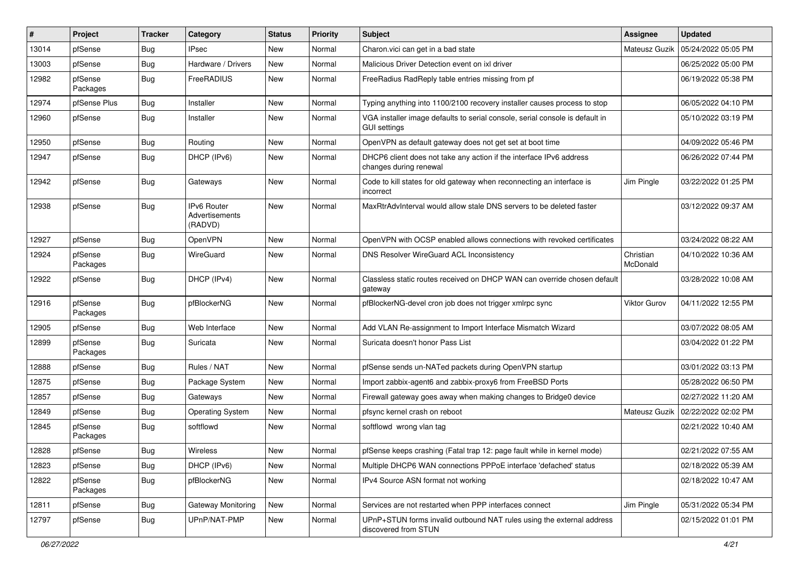| #     | Project             | <b>Tracker</b> | Category                                 | <b>Status</b> | <b>Priority</b> | <b>Subject</b>                                                                                      | Assignee              | <b>Updated</b>      |
|-------|---------------------|----------------|------------------------------------------|---------------|-----------------|-----------------------------------------------------------------------------------------------------|-----------------------|---------------------|
| 13014 | pfSense             | <b>Bug</b>     | IPsec                                    | New           | Normal          | Charon.vici can get in a bad state                                                                  | Mateusz Guzik         | 05/24/2022 05:05 PM |
| 13003 | pfSense             | Bug            | Hardware / Drivers                       | <b>New</b>    | Normal          | Malicious Driver Detection event on ixl driver                                                      |                       | 06/25/2022 05:00 PM |
| 12982 | pfSense<br>Packages | Bug            | FreeRADIUS                               | <b>New</b>    | Normal          | FreeRadius RadReply table entries missing from pf                                                   |                       | 06/19/2022 05:38 PM |
| 12974 | pfSense Plus        | <b>Bug</b>     | Installer                                | New           | Normal          | Typing anything into 1100/2100 recovery installer causes process to stop                            |                       | 06/05/2022 04:10 PM |
| 12960 | pfSense             | <b>Bug</b>     | Installer                                | New           | Normal          | VGA installer image defaults to serial console, serial console is default in<br><b>GUI settings</b> |                       | 05/10/2022 03:19 PM |
| 12950 | pfSense             | <b>Bug</b>     | Routing                                  | <b>New</b>    | Normal          | OpenVPN as default gateway does not get set at boot time                                            |                       | 04/09/2022 05:46 PM |
| 12947 | pfSense             | <b>Bug</b>     | DHCP (IPv6)                              | <b>New</b>    | Normal          | DHCP6 client does not take any action if the interface IPv6 address<br>changes during renewal       |                       | 06/26/2022 07:44 PM |
| 12942 | pfSense             | Bug            | Gateways                                 | <b>New</b>    | Normal          | Code to kill states for old gateway when reconnecting an interface is<br>incorrect                  | Jim Pingle            | 03/22/2022 01:25 PM |
| 12938 | pfSense             | Bug            | IPv6 Router<br>Advertisements<br>(RADVD) | <b>New</b>    | Normal          | MaxRtrAdvInterval would allow stale DNS servers to be deleted faster                                |                       | 03/12/2022 09:37 AM |
| 12927 | pfSense             | <b>Bug</b>     | <b>OpenVPN</b>                           | <b>New</b>    | Normal          | OpenVPN with OCSP enabled allows connections with revoked certificates                              |                       | 03/24/2022 08:22 AM |
| 12924 | pfSense<br>Packages | <b>Bug</b>     | WireGuard                                | New           | Normal          | DNS Resolver WireGuard ACL Inconsistency                                                            | Christian<br>McDonald | 04/10/2022 10:36 AM |
| 12922 | pfSense             | Bug            | DHCP (IPv4)                              | <b>New</b>    | Normal          | Classless static routes received on DHCP WAN can override chosen default<br>gateway                 |                       | 03/28/2022 10:08 AM |
| 12916 | pfSense<br>Packages | <b>Bug</b>     | pfBlockerNG                              | <b>New</b>    | Normal          | pfBlockerNG-devel cron job does not trigger xmlrpc sync                                             | Viktor Gurov          | 04/11/2022 12:55 PM |
| 12905 | pfSense             | Bug            | Web Interface                            | New           | Normal          | Add VLAN Re-assignment to Import Interface Mismatch Wizard                                          |                       | 03/07/2022 08:05 AM |
| 12899 | pfSense<br>Packages | Bug            | Suricata                                 | New           | Normal          | Suricata doesn't honor Pass List                                                                    |                       | 03/04/2022 01:22 PM |
| 12888 | pfSense             | Bug            | Rules / NAT                              | New           | Normal          | pfSense sends un-NATed packets during OpenVPN startup                                               |                       | 03/01/2022 03:13 PM |
| 12875 | pfSense             | <b>Bug</b>     | Package System                           | <b>New</b>    | Normal          | Import zabbix-agent6 and zabbix-proxy6 from FreeBSD Ports                                           |                       | 05/28/2022 06:50 PM |
| 12857 | pfSense             | <b>Bug</b>     | Gateways                                 | New           | Normal          | Firewall gateway goes away when making changes to Bridge0 device                                    |                       | 02/27/2022 11:20 AM |
| 12849 | pfSense             | Bug            | <b>Operating System</b>                  | <b>New</b>    | Normal          | pfsync kernel crash on reboot                                                                       | Mateusz Guzik         | 02/22/2022 02:02 PM |
| 12845 | pfSense<br>Packages | <b>Bug</b>     | softflowd                                | New           | Normal          | softflowd wrong vlan tag                                                                            |                       | 02/21/2022 10:40 AM |
| 12828 | pfSense             | <b>Bug</b>     | Wireless                                 | New           | Normal          | pfSense keeps crashing (Fatal trap 12: page fault while in kernel mode)                             |                       | 02/21/2022 07:55 AM |
| 12823 | pfSense             | <b>Bug</b>     | DHCP (IPv6)                              | New           | Normal          | Multiple DHCP6 WAN connections PPPoE interface 'defached' status                                    |                       | 02/18/2022 05:39 AM |
| 12822 | pfSense<br>Packages | <b>Bug</b>     | pfBlockerNG                              | New           | Normal          | IPv4 Source ASN format not working                                                                  |                       | 02/18/2022 10:47 AM |
| 12811 | pfSense             | <b>Bug</b>     | Gateway Monitoring                       | New           | Normal          | Services are not restarted when PPP interfaces connect                                              | Jim Pingle            | 05/31/2022 05:34 PM |
| 12797 | pfSense             | <b>Bug</b>     | UPnP/NAT-PMP                             | New           | Normal          | UPnP+STUN forms invalid outbound NAT rules using the external address<br>discovered from STUN       |                       | 02/15/2022 01:01 PM |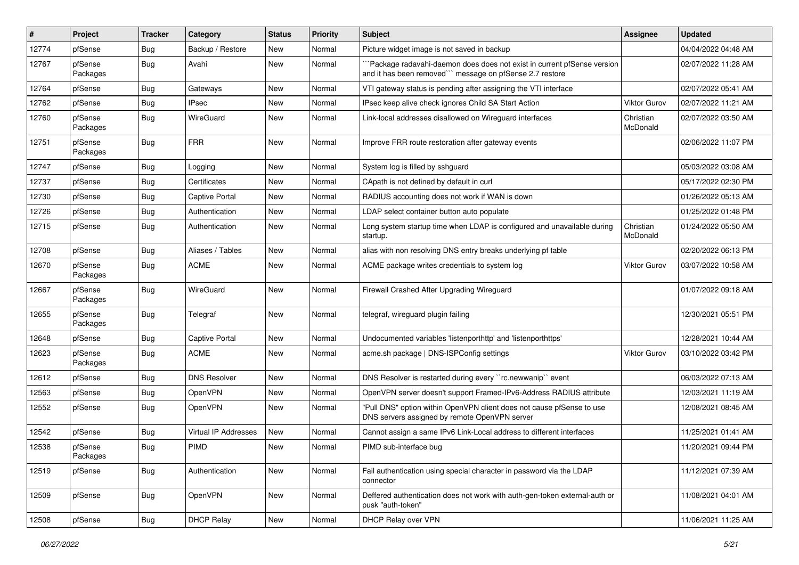| $\#$  | Project             | <b>Tracker</b> | Category                    | <b>Status</b> | <b>Priority</b> | Subject                                                                                                                            | Assignee              | <b>Updated</b>      |
|-------|---------------------|----------------|-----------------------------|---------------|-----------------|------------------------------------------------------------------------------------------------------------------------------------|-----------------------|---------------------|
| 12774 | pfSense             | <b>Bug</b>     | Backup / Restore            | New           | Normal          | Picture widget image is not saved in backup                                                                                        |                       | 04/04/2022 04:48 AM |
| 12767 | pfSense<br>Packages | <b>Bug</b>     | Avahi                       | <b>New</b>    | Normal          | Package radavahi-daemon does does not exist in current pfSense version<br>and it has been removed"" message on pfSense 2.7 restore |                       | 02/07/2022 11:28 AM |
| 12764 | pfSense             | <b>Bug</b>     | Gateways                    | New           | Normal          | VTI gateway status is pending after assigning the VTI interface                                                                    |                       | 02/07/2022 05:41 AM |
| 12762 | pfSense             | Bug            | <b>IPsec</b>                | New           | Normal          | IPsec keep alive check ignores Child SA Start Action                                                                               | <b>Viktor Gurov</b>   | 02/07/2022 11:21 AM |
| 12760 | pfSense<br>Packages | Bug            | WireGuard                   | New           | Normal          | Link-local addresses disallowed on Wireguard interfaces                                                                            | Christian<br>McDonald | 02/07/2022 03:50 AM |
| 12751 | pfSense<br>Packages | Bug            | <b>FRR</b>                  | New           | Normal          | Improve FRR route restoration after gateway events                                                                                 |                       | 02/06/2022 11:07 PM |
| 12747 | pfSense             | Bug            | Logging                     | New           | Normal          | System log is filled by sshguard                                                                                                   |                       | 05/03/2022 03:08 AM |
| 12737 | pfSense             | <b>Bug</b>     | Certificates                | New           | Normal          | CApath is not defined by default in curl                                                                                           |                       | 05/17/2022 02:30 PM |
| 12730 | pfSense             | <b>Bug</b>     | <b>Captive Portal</b>       | New           | Normal          | RADIUS accounting does not work if WAN is down                                                                                     |                       | 01/26/2022 05:13 AM |
| 12726 | pfSense             | Bug            | Authentication              | New           | Normal          | LDAP select container button auto populate                                                                                         |                       | 01/25/2022 01:48 PM |
| 12715 | pfSense             | Bug            | Authentication              | New           | Normal          | Long system startup time when LDAP is configured and unavailable during<br>startup.                                                | Christian<br>McDonald | 01/24/2022 05:50 AM |
| 12708 | pfSense             | Bug            | Aliases / Tables            | New           | Normal          | alias with non resolving DNS entry breaks underlying pf table                                                                      |                       | 02/20/2022 06:13 PM |
| 12670 | pfSense<br>Packages | Bug            | <b>ACME</b>                 | New           | Normal          | ACME package writes credentials to system log                                                                                      | Viktor Gurov          | 03/07/2022 10:58 AM |
| 12667 | pfSense<br>Packages | Bug            | WireGuard                   | New           | Normal          | Firewall Crashed After Upgrading Wireguard                                                                                         |                       | 01/07/2022 09:18 AM |
| 12655 | pfSense<br>Packages | <b>Bug</b>     | Telegraf                    | New           | Normal          | telegraf, wireguard plugin failing                                                                                                 |                       | 12/30/2021 05:51 PM |
| 12648 | pfSense             | Bug            | Captive Portal              | New           | Normal          | Undocumented variables 'listenporthttp' and 'listenporthttps'                                                                      |                       | 12/28/2021 10:44 AM |
| 12623 | pfSense<br>Packages | <b>Bug</b>     | <b>ACME</b>                 | New           | Normal          | acme.sh package   DNS-ISPConfig settings                                                                                           | Viktor Gurov          | 03/10/2022 03:42 PM |
| 12612 | pfSense             | Bug            | <b>DNS Resolver</b>         | New           | Normal          | DNS Resolver is restarted during every "rc.newwanip" event                                                                         |                       | 06/03/2022 07:13 AM |
| 12563 | pfSense             | Bug            | OpenVPN                     | New           | Normal          | OpenVPN server doesn't support Framed-IPv6-Address RADIUS attribute                                                                |                       | 12/03/2021 11:19 AM |
| 12552 | pfSense             | Bug            | OpenVPN                     | New           | Normal          | "Pull DNS" option within OpenVPN client does not cause pfSense to use<br>DNS servers assigned by remote OpenVPN server             |                       | 12/08/2021 08:45 AM |
| 12542 | pfSense             | <b>Bug</b>     | <b>Virtual IP Addresses</b> | New           | Normal          | Cannot assign a same IPv6 Link-Local address to different interfaces                                                               |                       | 11/25/2021 01:41 AM |
| 12538 | pfSense<br>Packages | Bug            | <b>PIMD</b>                 | New           | Normal          | PIMD sub-interface bug                                                                                                             |                       | 11/20/2021 09:44 PM |
| 12519 | pfSense             | Bug            | Authentication              | New           | Normal          | Fail authentication using special character in password via the LDAP<br>connector                                                  |                       | 11/12/2021 07:39 AM |
| 12509 | pfSense             | Bug            | OpenVPN                     | New           | Normal          | Deffered authentication does not work with auth-gen-token external-auth or<br>pusk "auth-token"                                    |                       | 11/08/2021 04:01 AM |
| 12508 | pfSense             | <b>Bug</b>     | <b>DHCP Relay</b>           | New           | Normal          | DHCP Relay over VPN                                                                                                                |                       | 11/06/2021 11:25 AM |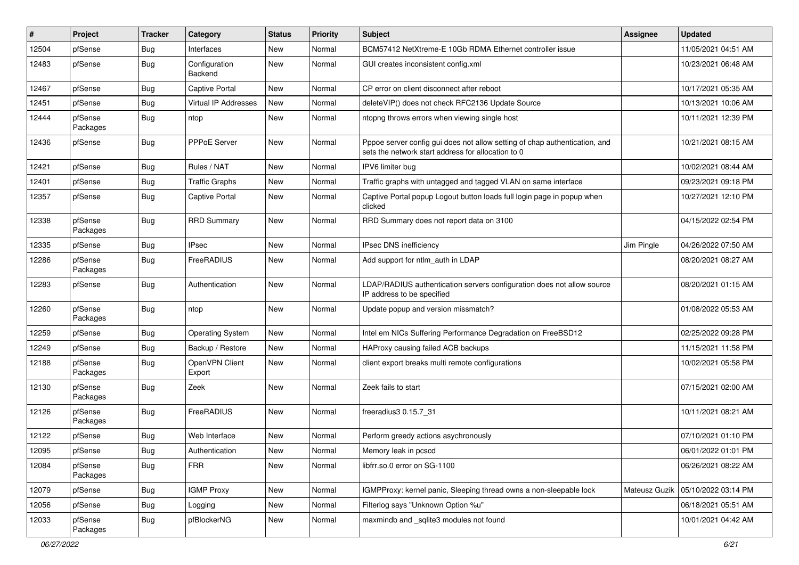| ∦     | Project             | <b>Tracker</b> | Category                    | <b>Status</b> | <b>Priority</b> | <b>Subject</b>                                                                                                                   | Assignee      | <b>Updated</b>      |
|-------|---------------------|----------------|-----------------------------|---------------|-----------------|----------------------------------------------------------------------------------------------------------------------------------|---------------|---------------------|
| 12504 | pfSense             | <b>Bug</b>     | Interfaces                  | New           | Normal          | BCM57412 NetXtreme-E 10Gb RDMA Ethernet controller issue                                                                         |               | 11/05/2021 04:51 AM |
| 12483 | pfSense             | Bug            | Configuration<br>Backend    | New           | Normal          | GUI creates inconsistent config.xml                                                                                              |               | 10/23/2021 06:48 AM |
| 12467 | pfSense             | Bug            | Captive Portal              | New           | Normal          | CP error on client disconnect after reboot                                                                                       |               | 10/17/2021 05:35 AM |
| 12451 | pfSense             | Bug            | <b>Virtual IP Addresses</b> | New           | Normal          | deleteVIP() does not check RFC2136 Update Source                                                                                 |               | 10/13/2021 10:06 AM |
| 12444 | pfSense<br>Packages | <b>Bug</b>     | ntop                        | New           | Normal          | ntopng throws errors when viewing single host                                                                                    |               | 10/11/2021 12:39 PM |
| 12436 | pfSense             | <b>Bug</b>     | PPPoE Server                | New           | Normal          | Pppoe server config gui does not allow setting of chap authentication, and<br>sets the network start address for allocation to 0 |               | 10/21/2021 08:15 AM |
| 12421 | pfSense             | <b>Bug</b>     | Rules / NAT                 | New           | Normal          | IPV6 limiter bug                                                                                                                 |               | 10/02/2021 08:44 AM |
| 12401 | pfSense             | <b>Bug</b>     | <b>Traffic Graphs</b>       | New           | Normal          | Traffic graphs with untagged and tagged VLAN on same interface                                                                   |               | 09/23/2021 09:18 PM |
| 12357 | pfSense             | <b>Bug</b>     | Captive Portal              | New           | Normal          | Captive Portal popup Logout button loads full login page in popup when<br>clicked                                                |               | 10/27/2021 12:10 PM |
| 12338 | pfSense<br>Packages | <b>Bug</b>     | <b>RRD Summary</b>          | New           | Normal          | RRD Summary does not report data on 3100                                                                                         |               | 04/15/2022 02:54 PM |
| 12335 | pfSense             | Bug            | <b>IPsec</b>                | New           | Normal          | IPsec DNS inefficiency                                                                                                           | Jim Pingle    | 04/26/2022 07:50 AM |
| 12286 | pfSense<br>Packages | <b>Bug</b>     | FreeRADIUS                  | New           | Normal          | Add support for ntlm auth in LDAP                                                                                                |               | 08/20/2021 08:27 AM |
| 12283 | pfSense             | <b>Bug</b>     | Authentication              | New           | Normal          | LDAP/RADIUS authentication servers configuration does not allow source<br>IP address to be specified                             |               | 08/20/2021 01:15 AM |
| 12260 | pfSense<br>Packages | Bug            | ntop                        | <b>New</b>    | Normal          | Update popup and version missmatch?                                                                                              |               | 01/08/2022 05:53 AM |
| 12259 | pfSense             | <b>Bug</b>     | <b>Operating System</b>     | New           | Normal          | Intel em NICs Suffering Performance Degradation on FreeBSD12                                                                     |               | 02/25/2022 09:28 PM |
| 12249 | pfSense             | Bug            | Backup / Restore            | New           | Normal          | HAProxy causing failed ACB backups                                                                                               |               | 11/15/2021 11:58 PM |
| 12188 | pfSense<br>Packages | <b>Bug</b>     | OpenVPN Client<br>Export    | New           | Normal          | client export breaks multi remote configurations                                                                                 |               | 10/02/2021 05:58 PM |
| 12130 | pfSense<br>Packages | <b>Bug</b>     | Zeek                        | New           | Normal          | Zeek fails to start                                                                                                              |               | 07/15/2021 02:00 AM |
| 12126 | pfSense<br>Packages | <b>Bug</b>     | FreeRADIUS                  | New           | Normal          | freeradius3 0.15.7 31                                                                                                            |               | 10/11/2021 08:21 AM |
| 12122 | pfSense             | Bug            | Web Interface               | New           | Normal          | Perform greedy actions asychronously                                                                                             |               | 07/10/2021 01:10 PM |
| 12095 | pfSense             | Bug            | Authentication              | New           | Normal          | Memory leak in pcscd                                                                                                             |               | 06/01/2022 01:01 PM |
| 12084 | pfSense<br>Packages | Bug            | <b>FRR</b>                  | New           | Normal          | libfrr.so.0 error on SG-1100                                                                                                     |               | 06/26/2021 08:22 AM |
| 12079 | pfSense             | <b>Bug</b>     | <b>IGMP Proxy</b>           | New           | Normal          | IGMPProxy: kernel panic, Sleeping thread owns a non-sleepable lock                                                               | Mateusz Guzik | 05/10/2022 03:14 PM |
| 12056 | pfSense             | <b>Bug</b>     | Logging                     | New           | Normal          | Filterlog says "Unknown Option %u"                                                                                               |               | 06/18/2021 05:51 AM |
| 12033 | pfSense<br>Packages | <b>Bug</b>     | pfBlockerNG                 | New           | Normal          | maxmindb and _sqlite3 modules not found                                                                                          |               | 10/01/2021 04:42 AM |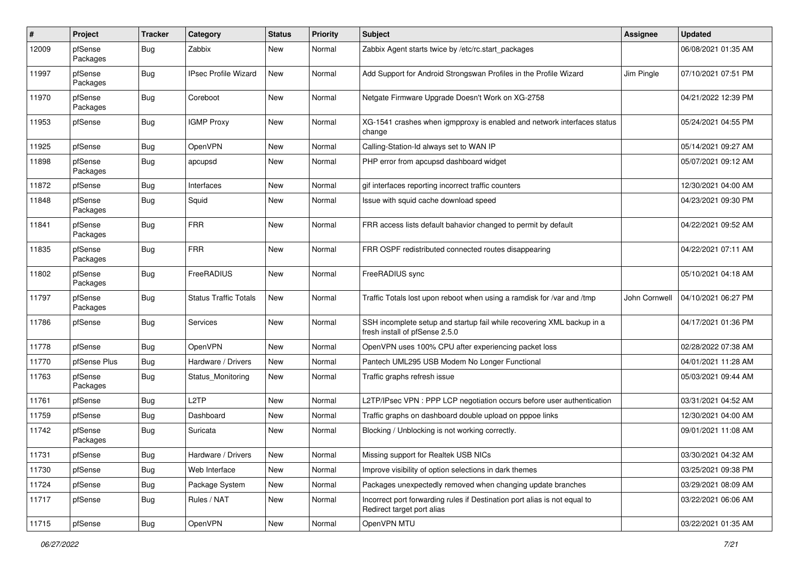| #     | Project             | <b>Tracker</b> | Category                     | <b>Status</b> | <b>Priority</b> | <b>Subject</b>                                                                                           | Assignee      | <b>Updated</b>      |
|-------|---------------------|----------------|------------------------------|---------------|-----------------|----------------------------------------------------------------------------------------------------------|---------------|---------------------|
| 12009 | pfSense<br>Packages | <b>Bug</b>     | Zabbix                       | New           | Normal          | Zabbix Agent starts twice by /etc/rc.start_packages                                                      |               | 06/08/2021 01:35 AM |
| 11997 | pfSense<br>Packages | <b>Bug</b>     | <b>IPsec Profile Wizard</b>  | <b>New</b>    | Normal          | Add Support for Android Strongswan Profiles in the Profile Wizard                                        | Jim Pingle    | 07/10/2021 07:51 PM |
| 11970 | pfSense<br>Packages | Bug            | Coreboot                     | New           | Normal          | Netgate Firmware Upgrade Doesn't Work on XG-2758                                                         |               | 04/21/2022 12:39 PM |
| 11953 | pfSense             | <b>Bug</b>     | <b>IGMP Proxy</b>            | New           | Normal          | XG-1541 crashes when igmpproxy is enabled and network interfaces status<br>change                        |               | 05/24/2021 04:55 PM |
| 11925 | pfSense             | <b>Bug</b>     | OpenVPN                      | New           | Normal          | Calling-Station-Id always set to WAN IP                                                                  |               | 05/14/2021 09:27 AM |
| 11898 | pfSense<br>Packages | <b>Bug</b>     | apcupsd                      | New           | Normal          | PHP error from apcupsd dashboard widget                                                                  |               | 05/07/2021 09:12 AM |
| 11872 | pfSense             | Bug            | Interfaces                   | <b>New</b>    | Normal          | gif interfaces reporting incorrect traffic counters                                                      |               | 12/30/2021 04:00 AM |
| 11848 | pfSense<br>Packages | Bug            | Squid                        | New           | Normal          | Issue with squid cache download speed                                                                    |               | 04/23/2021 09:30 PM |
| 11841 | pfSense<br>Packages | <b>Bug</b>     | <b>FRR</b>                   | New           | Normal          | FRR access lists default bahavior changed to permit by default                                           |               | 04/22/2021 09:52 AM |
| 11835 | pfSense<br>Packages | <b>Bug</b>     | <b>FRR</b>                   | New           | Normal          | FRR OSPF redistributed connected routes disappearing                                                     |               | 04/22/2021 07:11 AM |
| 11802 | pfSense<br>Packages | <b>Bug</b>     | FreeRADIUS                   | New           | Normal          | FreeRADIUS sync                                                                                          |               | 05/10/2021 04:18 AM |
| 11797 | pfSense<br>Packages | Bug            | <b>Status Traffic Totals</b> | New           | Normal          | Traffic Totals lost upon reboot when using a ramdisk for /var and /tmp                                   | John Cornwell | 04/10/2021 06:27 PM |
| 11786 | pfSense             | <b>Bug</b>     | Services                     | New           | Normal          | SSH incomplete setup and startup fail while recovering XML backup in a<br>fresh install of pfSense 2.5.0 |               | 04/17/2021 01:36 PM |
| 11778 | pfSense             | <b>Bug</b>     | OpenVPN                      | New           | Normal          | OpenVPN uses 100% CPU after experiencing packet loss                                                     |               | 02/28/2022 07:38 AM |
| 11770 | pfSense Plus        | Bug            | Hardware / Drivers           | New           | Normal          | Pantech UML295 USB Modem No Longer Functional                                                            |               | 04/01/2021 11:28 AM |
| 11763 | pfSense<br>Packages | Bug            | Status Monitoring            | New           | Normal          | Traffic graphs refresh issue                                                                             |               | 05/03/2021 09:44 AM |
| 11761 | pfSense             | <b>Bug</b>     | L <sub>2</sub> TP            | New           | Normal          | L2TP/IPsec VPN : PPP LCP negotiation occurs before user authentication                                   |               | 03/31/2021 04:52 AM |
| 11759 | pfSense             | Bug            | Dashboard                    | New           | Normal          | Traffic graphs on dashboard double upload on pppoe links                                                 |               | 12/30/2021 04:00 AM |
| 11742 | pfSense<br>Packages | Bug            | Suricata                     | New           | Normal          | Blocking / Unblocking is not working correctly.                                                          |               | 09/01/2021 11:08 AM |
| 11731 | pfSense             | <b>Bug</b>     | Hardware / Drivers           | New           | Normal          | Missing support for Realtek USB NICs                                                                     |               | 03/30/2021 04:32 AM |
| 11730 | pfSense             | <b>Bug</b>     | Web Interface                | New           | Normal          | Improve visibility of option selections in dark themes                                                   |               | 03/25/2021 09:38 PM |
| 11724 | pfSense             | <b>Bug</b>     | Package System               | New           | Normal          | Packages unexpectedly removed when changing update branches                                              |               | 03/29/2021 08:09 AM |
| 11717 | pfSense             | <b>Bug</b>     | Rules / NAT                  | New           | Normal          | Incorrect port forwarding rules if Destination port alias is not equal to<br>Redirect target port alias  |               | 03/22/2021 06:06 AM |
| 11715 | pfSense             | Bug            | OpenVPN                      | New           | Normal          | OpenVPN MTU                                                                                              |               | 03/22/2021 01:35 AM |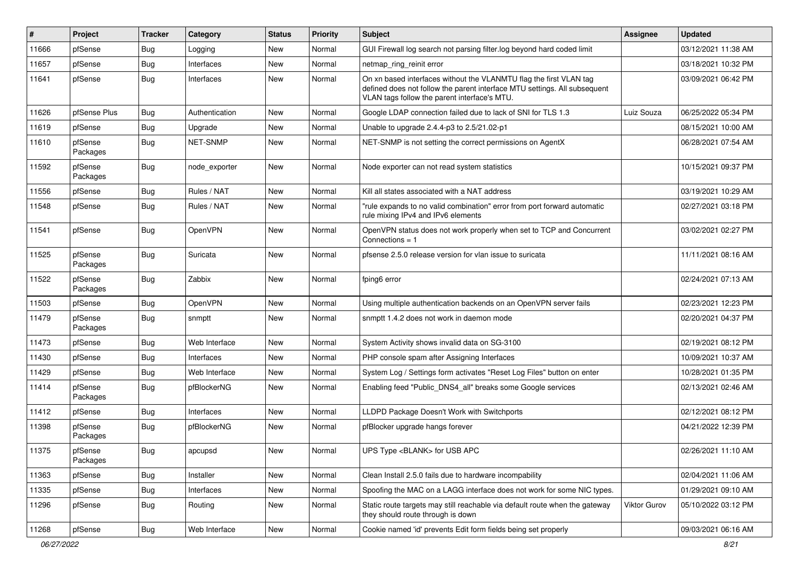| #     | Project             | <b>Tracker</b> | Category        | <b>Status</b> | <b>Priority</b> | <b>Subject</b>                                                                                                                                                                                  | Assignee     | <b>Updated</b>      |
|-------|---------------------|----------------|-----------------|---------------|-----------------|-------------------------------------------------------------------------------------------------------------------------------------------------------------------------------------------------|--------------|---------------------|
| 11666 | pfSense             | <b>Bug</b>     | Logging         | New           | Normal          | GUI Firewall log search not parsing filter.log beyond hard coded limit                                                                                                                          |              | 03/12/2021 11:38 AM |
| 11657 | pfSense             | Bug            | Interfaces      | New           | Normal          | netmap_ring_reinit error                                                                                                                                                                        |              | 03/18/2021 10:32 PM |
| 11641 | pfSense             | <b>Bug</b>     | Interfaces      | New           | Normal          | On xn based interfaces without the VLANMTU flag the first VLAN tag<br>defined does not follow the parent interface MTU settings. All subsequent<br>VLAN tags follow the parent interface's MTU. |              | 03/09/2021 06:42 PM |
| 11626 | pfSense Plus        | <b>Bug</b>     | Authentication  | New           | Normal          | Google LDAP connection failed due to lack of SNI for TLS 1.3                                                                                                                                    | Luiz Souza   | 06/25/2022 05:34 PM |
| 11619 | pfSense             | <b>Bug</b>     | Upgrade         | New           | Normal          | Unable to upgrade 2.4.4-p3 to 2.5/21.02-p1                                                                                                                                                      |              | 08/15/2021 10:00 AM |
| 11610 | pfSense<br>Packages | <b>Bug</b>     | <b>NET-SNMP</b> | New           | Normal          | NET-SNMP is not setting the correct permissions on AgentX                                                                                                                                       |              | 06/28/2021 07:54 AM |
| 11592 | pfSense<br>Packages | Bug            | node exporter   | New           | Normal          | Node exporter can not read system statistics                                                                                                                                                    |              | 10/15/2021 09:37 PM |
| 11556 | pfSense             | <b>Bug</b>     | Rules / NAT     | New           | Normal          | Kill all states associated with a NAT address                                                                                                                                                   |              | 03/19/2021 10:29 AM |
| 11548 | pfSense             | <b>Bug</b>     | Rules / NAT     | New           | Normal          | "rule expands to no valid combination" error from port forward automatic<br>rule mixing IPv4 and IPv6 elements                                                                                  |              | 02/27/2021 03:18 PM |
| 11541 | pfSense             | Bug            | OpenVPN         | New           | Normal          | OpenVPN status does not work properly when set to TCP and Concurrent<br>Connections $= 1$                                                                                                       |              | 03/02/2021 02:27 PM |
| 11525 | pfSense<br>Packages | <b>Bug</b>     | Suricata        | New           | Normal          | pfsense 2.5.0 release version for vlan issue to suricata                                                                                                                                        |              | 11/11/2021 08:16 AM |
| 11522 | pfSense<br>Packages | <b>Bug</b>     | Zabbix          | New           | Normal          | fping6 error                                                                                                                                                                                    |              | 02/24/2021 07:13 AM |
| 11503 | pfSense             | Bug            | <b>OpenVPN</b>  | <b>New</b>    | Normal          | Using multiple authentication backends on an OpenVPN server fails                                                                                                                               |              | 02/23/2021 12:23 PM |
| 11479 | pfSense<br>Packages | Bug            | snmptt          | New           | Normal          | snmptt 1.4.2 does not work in daemon mode                                                                                                                                                       |              | 02/20/2021 04:37 PM |
| 11473 | pfSense             | <b>Bug</b>     | Web Interface   | <b>New</b>    | Normal          | System Activity shows invalid data on SG-3100                                                                                                                                                   |              | 02/19/2021 08:12 PM |
| 11430 | pfSense             | <b>Bug</b>     | Interfaces      | New           | Normal          | PHP console spam after Assigning Interfaces                                                                                                                                                     |              | 10/09/2021 10:37 AM |
| 11429 | pfSense             | <b>Bug</b>     | Web Interface   | New           | Normal          | System Log / Settings form activates "Reset Log Files" button on enter                                                                                                                          |              | 10/28/2021 01:35 PM |
| 11414 | pfSense<br>Packages | <b>Bug</b>     | pfBlockerNG     | New           | Normal          | Enabling feed "Public_DNS4_all" breaks some Google services                                                                                                                                     |              | 02/13/2021 02:46 AM |
| 11412 | pfSense             | <b>Bug</b>     | Interfaces      | New           | Normal          | LLDPD Package Doesn't Work with Switchports                                                                                                                                                     |              | 02/12/2021 08:12 PM |
| 11398 | pfSense<br>Packages | <b>Bug</b>     | pfBlockerNG     | New           | Normal          | pfBlocker upgrade hangs forever                                                                                                                                                                 |              | 04/21/2022 12:39 PM |
| 11375 | pfSense<br>Packages | i Bug          | apcupsd         | New           | Normal          | UPS Type <blank> for USB APC</blank>                                                                                                                                                            |              | 02/26/2021 11:10 AM |
| 11363 | pfSense             | <b>Bug</b>     | Installer       | New           | Normal          | Clean Install 2.5.0 fails due to hardware incompability                                                                                                                                         |              | 02/04/2021 11:06 AM |
| 11335 | pfSense             | <b>Bug</b>     | Interfaces      | New           | Normal          | Spoofing the MAC on a LAGG interface does not work for some NIC types.                                                                                                                          |              | 01/29/2021 09:10 AM |
| 11296 | pfSense             | <b>Bug</b>     | Routing         | New           | Normal          | Static route targets may still reachable via default route when the gateway<br>they should route through is down                                                                                | Viktor Gurov | 05/10/2022 03:12 PM |
| 11268 | pfSense             | <b>Bug</b>     | Web Interface   | New           | Normal          | Cookie named 'id' prevents Edit form fields being set properly                                                                                                                                  |              | 09/03/2021 06:16 AM |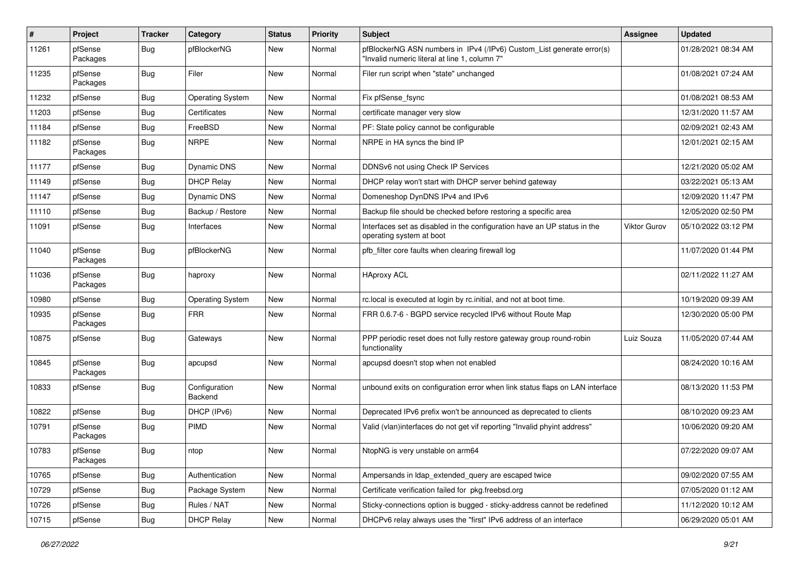| #     | Project             | <b>Tracker</b> | Category                 | <b>Status</b> | <b>Priority</b> | <b>Subject</b>                                                                                                         | Assignee            | <b>Updated</b>      |
|-------|---------------------|----------------|--------------------------|---------------|-----------------|------------------------------------------------------------------------------------------------------------------------|---------------------|---------------------|
| 11261 | pfSense<br>Packages | <b>Bug</b>     | pfBlockerNG              | New           | Normal          | pfBlockerNG ASN numbers in IPv4 (/IPv6) Custom_List generate error(s)<br>"Invalid numeric literal at line 1, column 7" |                     | 01/28/2021 08:34 AM |
| 11235 | pfSense<br>Packages | <b>Bug</b>     | Filer                    | New           | Normal          | Filer run script when "state" unchanged                                                                                |                     | 01/08/2021 07:24 AM |
| 11232 | pfSense             | <b>Bug</b>     | <b>Operating System</b>  | New           | Normal          | Fix pfSense_fsync                                                                                                      |                     | 01/08/2021 08:53 AM |
| 11203 | pfSense             | Bug            | Certificates             | New           | Normal          | certificate manager very slow                                                                                          |                     | 12/31/2020 11:57 AM |
| 11184 | pfSense             | <b>Bug</b>     | FreeBSD                  | New           | Normal          | PF: State policy cannot be configurable                                                                                |                     | 02/09/2021 02:43 AM |
| 11182 | pfSense<br>Packages | <b>Bug</b>     | <b>NRPE</b>              | New           | Normal          | NRPE in HA syncs the bind IP                                                                                           |                     | 12/01/2021 02:15 AM |
| 11177 | pfSense             | <b>Bug</b>     | Dynamic DNS              | New           | Normal          | DDNSv6 not using Check IP Services                                                                                     |                     | 12/21/2020 05:02 AM |
| 11149 | pfSense             | <b>Bug</b>     | <b>DHCP Relay</b>        | New           | Normal          | DHCP relay won't start with DHCP server behind gateway                                                                 |                     | 03/22/2021 05:13 AM |
| 11147 | pfSense             | <b>Bug</b>     | Dynamic DNS              | New           | Normal          | Domeneshop DynDNS IPv4 and IPv6                                                                                        |                     | 12/09/2020 11:47 PM |
| 11110 | pfSense             | <b>Bug</b>     | Backup / Restore         | New           | Normal          | Backup file should be checked before restoring a specific area                                                         |                     | 12/05/2020 02:50 PM |
| 11091 | pfSense             | <b>Bug</b>     | Interfaces               | New           | Normal          | Interfaces set as disabled in the configuration have an UP status in the<br>operating system at boot                   | <b>Viktor Gurov</b> | 05/10/2022 03:12 PM |
| 11040 | pfSense<br>Packages | Bug            | pfBlockerNG              | New           | Normal          | pfb filter core faults when clearing firewall log                                                                      |                     | 11/07/2020 01:44 PM |
| 11036 | pfSense<br>Packages | <b>Bug</b>     | haproxy                  | New           | Normal          | <b>HAproxy ACL</b>                                                                                                     |                     | 02/11/2022 11:27 AM |
| 10980 | pfSense             | <b>Bug</b>     | <b>Operating System</b>  | New           | Normal          | rc.local is executed at login by rc.initial, and not at boot time.                                                     |                     | 10/19/2020 09:39 AM |
| 10935 | pfSense<br>Packages | <b>Bug</b>     | <b>FRR</b>               | New           | Normal          | FRR 0.6.7-6 - BGPD service recycled IPv6 without Route Map                                                             |                     | 12/30/2020 05:00 PM |
| 10875 | pfSense             | <b>Bug</b>     | Gateways                 | New           | Normal          | PPP periodic reset does not fully restore gateway group round-robin<br>functionality                                   | Luiz Souza          | 11/05/2020 07:44 AM |
| 10845 | pfSense<br>Packages | <b>Bug</b>     | apcupsd                  | New           | Normal          | apcupsd doesn't stop when not enabled                                                                                  |                     | 08/24/2020 10:16 AM |
| 10833 | pfSense             | <b>Bug</b>     | Configuration<br>Backend | New           | Normal          | unbound exits on configuration error when link status flaps on LAN interface                                           |                     | 08/13/2020 11:53 PM |
| 10822 | pfSense             | <b>Bug</b>     | DHCP (IPv6)              | New           | Normal          | Deprecated IPv6 prefix won't be announced as deprecated to clients                                                     |                     | 08/10/2020 09:23 AM |
| 10791 | pfSense<br>Packages | <b>Bug</b>     | <b>PIMD</b>              | New           | Normal          | Valid (vlan)interfaces do not get vif reporting "Invalid phyint address"                                               |                     | 10/06/2020 09:20 AM |
| 10783 | pfSense<br>Packages | Bug            | ntop                     | New           | Normal          | NtopNG is very unstable on arm64                                                                                       |                     | 07/22/2020 09:07 AM |
| 10765 | pfSense             | Bug            | Authentication           | New           | Normal          | Ampersands in Idap_extended_query are escaped twice                                                                    |                     | 09/02/2020 07:55 AM |
| 10729 | pfSense             | <b>Bug</b>     | Package System           | New           | Normal          | Certificate verification failed for pkg.freebsd.org                                                                    |                     | 07/05/2020 01:12 AM |
| 10726 | pfSense             | <b>Bug</b>     | Rules / NAT              | New           | Normal          | Sticky-connections option is bugged - sticky-address cannot be redefined                                               |                     | 11/12/2020 10:12 AM |
| 10715 | pfSense             | Bug            | <b>DHCP Relay</b>        | New           | Normal          | DHCPv6 relay always uses the "first" IPv6 address of an interface                                                      |                     | 06/29/2020 05:01 AM |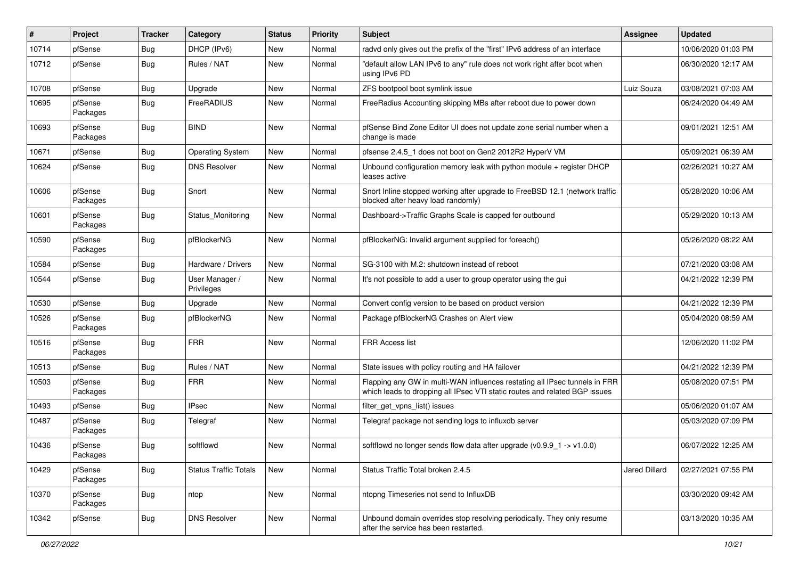| #     | Project             | <b>Tracker</b> | Category                     | <b>Status</b> | <b>Priority</b> | <b>Subject</b>                                                                                                                                           | Assignee      | <b>Updated</b>      |
|-------|---------------------|----------------|------------------------------|---------------|-----------------|----------------------------------------------------------------------------------------------------------------------------------------------------------|---------------|---------------------|
| 10714 | pfSense             | <b>Bug</b>     | DHCP (IPv6)                  | New           | Normal          | radvd only gives out the prefix of the "first" IPv6 address of an interface                                                                              |               | 10/06/2020 01:03 PM |
| 10712 | pfSense             | <b>Bug</b>     | Rules / NAT                  | New           | Normal          | "default allow LAN IPv6 to any" rule does not work right after boot when<br>using IPv6 PD                                                                |               | 06/30/2020 12:17 AM |
| 10708 | pfSense             | <b>Bug</b>     | Upgrade                      | New           | Normal          | ZFS bootpool boot symlink issue                                                                                                                          | Luiz Souza    | 03/08/2021 07:03 AM |
| 10695 | pfSense<br>Packages | Bug            | FreeRADIUS                   | New           | Normal          | FreeRadius Accounting skipping MBs after reboot due to power down                                                                                        |               | 06/24/2020 04:49 AM |
| 10693 | pfSense<br>Packages | <b>Bug</b>     | <b>BIND</b>                  | New           | Normal          | pfSense Bind Zone Editor UI does not update zone serial number when a<br>change is made                                                                  |               | 09/01/2021 12:51 AM |
| 10671 | pfSense             | <b>Bug</b>     | <b>Operating System</b>      | New           | Normal          | pfsense 2.4.5 1 does not boot on Gen2 2012R2 HyperV VM                                                                                                   |               | 05/09/2021 06:39 AM |
| 10624 | pfSense             | <b>Bug</b>     | <b>DNS Resolver</b>          | New           | Normal          | Unbound configuration memory leak with python module + register DHCP<br>leases active                                                                    |               | 02/26/2021 10:27 AM |
| 10606 | pfSense<br>Packages | <b>Bug</b>     | Snort                        | <b>New</b>    | Normal          | Snort Inline stopped working after upgrade to FreeBSD 12.1 (network traffic<br>blocked after heavy load randomly)                                        |               | 05/28/2020 10:06 AM |
| 10601 | pfSense<br>Packages | <b>Bug</b>     | Status_Monitoring            | New           | Normal          | Dashboard->Traffic Graphs Scale is capped for outbound                                                                                                   |               | 05/29/2020 10:13 AM |
| 10590 | pfSense<br>Packages | <b>Bug</b>     | pfBlockerNG                  | New           | Normal          | pfBlockerNG: Invalid argument supplied for foreach()                                                                                                     |               | 05/26/2020 08:22 AM |
| 10584 | pfSense             | <b>Bug</b>     | Hardware / Drivers           | New           | Normal          | SG-3100 with M.2: shutdown instead of reboot                                                                                                             |               | 07/21/2020 03:08 AM |
| 10544 | pfSense             | <b>Bug</b>     | User Manager /<br>Privileges | New           | Normal          | It's not possible to add a user to group operator using the gui                                                                                          |               | 04/21/2022 12:39 PM |
| 10530 | pfSense             | <b>Bug</b>     | Upgrade                      | New           | Normal          | Convert config version to be based on product version                                                                                                    |               | 04/21/2022 12:39 PM |
| 10526 | pfSense<br>Packages | <b>Bug</b>     | pfBlockerNG                  | New           | Normal          | Package pfBlockerNG Crashes on Alert view                                                                                                                |               | 05/04/2020 08:59 AM |
| 10516 | pfSense<br>Packages | Bug            | <b>FRR</b>                   | New           | Normal          | FRR Access list                                                                                                                                          |               | 12/06/2020 11:02 PM |
| 10513 | pfSense             | <b>Bug</b>     | Rules / NAT                  | New           | Normal          | State issues with policy routing and HA failover                                                                                                         |               | 04/21/2022 12:39 PM |
| 10503 | pfSense<br>Packages | <b>Bug</b>     | <b>FRR</b>                   | New           | Normal          | Flapping any GW in multi-WAN influences restating all IPsec tunnels in FRR<br>which leads to dropping all IPsec VTI static routes and related BGP issues |               | 05/08/2020 07:51 PM |
| 10493 | pfSense             | <b>Bug</b>     | <b>IPsec</b>                 | New           | Normal          | filter_get_vpns_list() issues                                                                                                                            |               | 05/06/2020 01:07 AM |
| 10487 | pfSense<br>Packages | <b>Bug</b>     | Telegraf                     | New           | Normal          | Telegraf package not sending logs to influxdb server                                                                                                     |               | 05/03/2020 07:09 PM |
| 10436 | pfSense<br>Packages | <b>Bug</b>     | softflowd                    | New           | Normal          | softflowd no longer sends flow data after upgrade $(v0.9.9 - 1 - v1.0.0)$                                                                                |               | 06/07/2022 12:25 AM |
| 10429 | pfSense<br>Packages | <b>Bug</b>     | <b>Status Traffic Totals</b> | New           | Normal          | Status Traffic Total broken 2.4.5                                                                                                                        | Jared Dillard | 02/27/2021 07:55 PM |
| 10370 | pfSense<br>Packages | <b>Bug</b>     | ntop                         | New           | Normal          | ntopng Timeseries not send to InfluxDB                                                                                                                   |               | 03/30/2020 09:42 AM |
| 10342 | pfSense             | <b>Bug</b>     | <b>DNS Resolver</b>          | New           | Normal          | Unbound domain overrides stop resolving periodically. They only resume<br>after the service has been restarted.                                          |               | 03/13/2020 10:35 AM |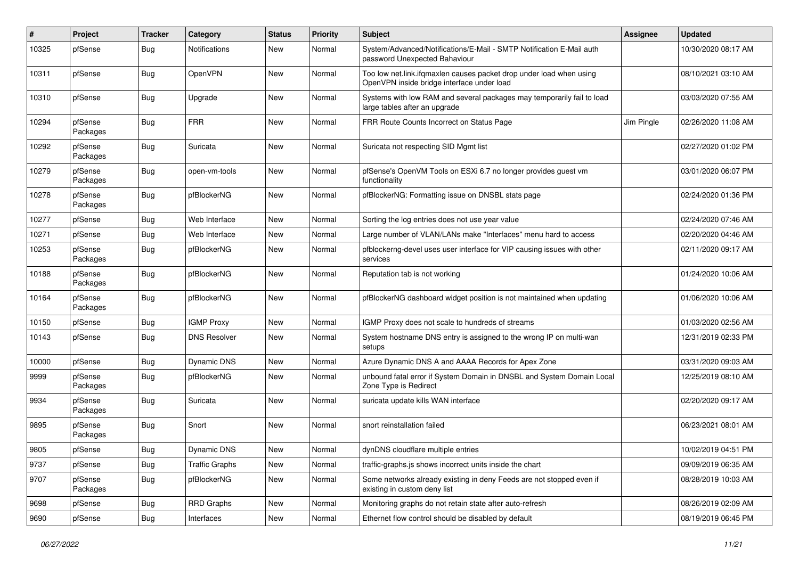| $\pmb{\#}$ | Project             | <b>Tracker</b> | Category              | <b>Status</b> | <b>Priority</b> | Subject                                                                                                           | Assignee   | <b>Updated</b>      |
|------------|---------------------|----------------|-----------------------|---------------|-----------------|-------------------------------------------------------------------------------------------------------------------|------------|---------------------|
| 10325      | pfSense             | <b>Bug</b>     | <b>Notifications</b>  | New           | Normal          | System/Advanced/Notifications/E-Mail - SMTP Notification E-Mail auth<br>password Unexpected Bahaviour             |            | 10/30/2020 08:17 AM |
| 10311      | pfSense             | <b>Bug</b>     | OpenVPN               | <b>New</b>    | Normal          | Too low net.link.ifqmaxlen causes packet drop under load when using<br>OpenVPN inside bridge interface under load |            | 08/10/2021 03:10 AM |
| 10310      | pfSense             | <b>Bug</b>     | Upgrade               | <b>New</b>    | Normal          | Systems with low RAM and several packages may temporarily fail to load<br>large tables after an upgrade           |            | 03/03/2020 07:55 AM |
| 10294      | pfSense<br>Packages | <b>Bug</b>     | <b>FRR</b>            | <b>New</b>    | Normal          | FRR Route Counts Incorrect on Status Page                                                                         | Jim Pingle | 02/26/2020 11:08 AM |
| 10292      | pfSense<br>Packages | <b>Bug</b>     | Suricata              | <b>New</b>    | Normal          | Suricata not respecting SID Mgmt list                                                                             |            | 02/27/2020 01:02 PM |
| 10279      | pfSense<br>Packages | Bug            | open-vm-tools         | <b>New</b>    | Normal          | pfSense's OpenVM Tools on ESXi 6.7 no longer provides guest vm<br>functionality                                   |            | 03/01/2020 06:07 PM |
| 10278      | pfSense<br>Packages | <b>Bug</b>     | pfBlockerNG           | <b>New</b>    | Normal          | pfBlockerNG: Formatting issue on DNSBL stats page                                                                 |            | 02/24/2020 01:36 PM |
| 10277      | pfSense             | <b>Bug</b>     | Web Interface         | <b>New</b>    | Normal          | Sorting the log entries does not use year value                                                                   |            | 02/24/2020 07:46 AM |
| 10271      | pfSense             | <b>Bug</b>     | Web Interface         | <b>New</b>    | Normal          | Large number of VLAN/LANs make "Interfaces" menu hard to access                                                   |            | 02/20/2020 04:46 AM |
| 10253      | pfSense<br>Packages | <b>Bug</b>     | pfBlockerNG           | New           | Normal          | pfblockerng-devel uses user interface for VIP causing issues with other<br>services                               |            | 02/11/2020 09:17 AM |
| 10188      | pfSense<br>Packages | <b>Bug</b>     | pfBlockerNG           | <b>New</b>    | Normal          | Reputation tab is not working                                                                                     |            | 01/24/2020 10:06 AM |
| 10164      | pfSense<br>Packages | Bug            | pfBlockerNG           | New           | Normal          | pfBlockerNG dashboard widget position is not maintained when updating                                             |            | 01/06/2020 10:06 AM |
| 10150      | pfSense             | <b>Bug</b>     | <b>IGMP Proxy</b>     | <b>New</b>    | Normal          | IGMP Proxy does not scale to hundreds of streams                                                                  |            | 01/03/2020 02:56 AM |
| 10143      | pfSense             | <b>Bug</b>     | <b>DNS Resolver</b>   | New           | Normal          | System hostname DNS entry is assigned to the wrong IP on multi-wan<br>setups                                      |            | 12/31/2019 02:33 PM |
| 10000      | pfSense             | <b>Bug</b>     | Dynamic DNS           | <b>New</b>    | Normal          | Azure Dynamic DNS A and AAAA Records for Apex Zone                                                                |            | 03/31/2020 09:03 AM |
| 9999       | pfSense<br>Packages | <b>Bug</b>     | pfBlockerNG           | New           | Normal          | unbound fatal error if System Domain in DNSBL and System Domain Local<br>Zone Type is Redirect                    |            | 12/25/2019 08:10 AM |
| 9934       | pfSense<br>Packages | <b>Bug</b>     | Suricata              | New           | Normal          | suricata update kills WAN interface                                                                               |            | 02/20/2020 09:17 AM |
| 9895       | pfSense<br>Packages | <b>Bug</b>     | Snort                 | <b>New</b>    | Normal          | snort reinstallation failed                                                                                       |            | 06/23/2021 08:01 AM |
| 9805       | pfSense             | Bug            | Dynamic DNS           | New           | Normal          | dynDNS cloudflare multiple entries                                                                                |            | 10/02/2019 04:51 PM |
| 9737       | pfSense             | <b>Bug</b>     | <b>Traffic Graphs</b> | New           | Normal          | traffic-graphs.js shows incorrect units inside the chart                                                          |            | 09/09/2019 06:35 AM |
| 9707       | pfSense<br>Packages | <b>Bug</b>     | pfBlockerNG           | New           | Normal          | Some networks already existing in deny Feeds are not stopped even if<br>existing in custom deny list              |            | 08/28/2019 10:03 AM |
| 9698       | pfSense             | <b>Bug</b>     | <b>RRD Graphs</b>     | New           | Normal          | Monitoring graphs do not retain state after auto-refresh                                                          |            | 08/26/2019 02:09 AM |
| 9690       | pfSense             | <b>Bug</b>     | Interfaces            | New           | Normal          | Ethernet flow control should be disabled by default                                                               |            | 08/19/2019 06:45 PM |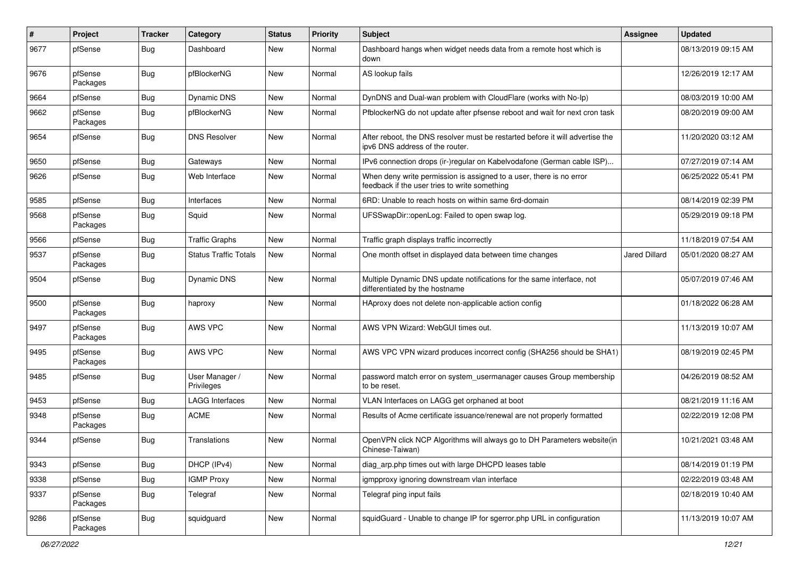| $\sharp$ | Project             | <b>Tracker</b> | Category                     | <b>Status</b> | <b>Priority</b> | <b>Subject</b>                                                                                                       | Assignee      | <b>Updated</b>      |
|----------|---------------------|----------------|------------------------------|---------------|-----------------|----------------------------------------------------------------------------------------------------------------------|---------------|---------------------|
| 9677     | pfSense             | <b>Bug</b>     | Dashboard                    | New           | Normal          | Dashboard hangs when widget needs data from a remote host which is<br>down                                           |               | 08/13/2019 09:15 AM |
| 9676     | pfSense<br>Packages | <b>Bug</b>     | pfBlockerNG                  | New           | Normal          | AS lookup fails                                                                                                      |               | 12/26/2019 12:17 AM |
| 9664     | pfSense             | <b>Bug</b>     | Dynamic DNS                  | New           | Normal          | DynDNS and Dual-wan problem with CloudFlare (works with No-Ip)                                                       |               | 08/03/2019 10:00 AM |
| 9662     | pfSense<br>Packages | Bug            | pfBlockerNG                  | New           | Normal          | PfblockerNG do not update after pfsense reboot and wait for next cron task                                           |               | 08/20/2019 09:00 AM |
| 9654     | pfSense             | <b>Bug</b>     | <b>DNS Resolver</b>          | New           | Normal          | After reboot, the DNS resolver must be restarted before it will advertise the<br>ipv6 DNS address of the router.     |               | 11/20/2020 03:12 AM |
| 9650     | pfSense             | <b>Bug</b>     | Gateways                     | New           | Normal          | IPv6 connection drops (ir-)regular on Kabelvodafone (German cable ISP)                                               |               | 07/27/2019 07:14 AM |
| 9626     | pfSense             | <b>Bug</b>     | Web Interface                | New           | Normal          | When deny write permission is assigned to a user, there is no error<br>feedback if the user tries to write something |               | 06/25/2022 05:41 PM |
| 9585     | pfSense             | Bug            | Interfaces                   | New           | Normal          | 6RD: Unable to reach hosts on within same 6rd-domain                                                                 |               | 08/14/2019 02:39 PM |
| 9568     | pfSense<br>Packages | <b>Bug</b>     | Squid                        | New           | Normal          | UFSSwapDir::openLog: Failed to open swap log.                                                                        |               | 05/29/2019 09:18 PM |
| 9566     | pfSense             | <b>Bug</b>     | <b>Traffic Graphs</b>        | New           | Normal          | Traffic graph displays traffic incorrectly                                                                           |               | 11/18/2019 07:54 AM |
| 9537     | pfSense<br>Packages | <b>Bug</b>     | <b>Status Traffic Totals</b> | New           | Normal          | One month offset in displayed data between time changes                                                              | Jared Dillard | 05/01/2020 08:27 AM |
| 9504     | pfSense             | <b>Bug</b>     | Dynamic DNS                  | New           | Normal          | Multiple Dynamic DNS update notifications for the same interface, not<br>differentiated by the hostname              |               | 05/07/2019 07:46 AM |
| 9500     | pfSense<br>Packages | <b>Bug</b>     | haproxy                      | New           | Normal          | HAproxy does not delete non-applicable action config                                                                 |               | 01/18/2022 06:28 AM |
| 9497     | pfSense<br>Packages | Bug            | AWS VPC                      | New           | Normal          | AWS VPN Wizard: WebGUI times out.                                                                                    |               | 11/13/2019 10:07 AM |
| 9495     | pfSense<br>Packages | <b>Bug</b>     | AWS VPC                      | New           | Normal          | AWS VPC VPN wizard produces incorrect config (SHA256 should be SHA1)                                                 |               | 08/19/2019 02:45 PM |
| 9485     | pfSense             | <b>Bug</b>     | User Manager /<br>Privileges | New           | Normal          | password match error on system_usermanager causes Group membership<br>to be reset.                                   |               | 04/26/2019 08:52 AM |
| 9453     | pfSense             | <b>Bug</b>     | <b>LAGG Interfaces</b>       | New           | Normal          | VLAN Interfaces on LAGG get orphaned at boot                                                                         |               | 08/21/2019 11:16 AM |
| 9348     | pfSense<br>Packages | Bug            | <b>ACME</b>                  | New           | Normal          | Results of Acme certificate issuance/renewal are not properly formatted                                              |               | 02/22/2019 12:08 PM |
| 9344     | pfSense             | Bug            | Translations                 | New           | Normal          | OpenVPN click NCP Algorithms will always go to DH Parameters website(in<br>Chinese-Taiwan)                           |               | 10/21/2021 03:48 AM |
| 9343     | pfSense             | <b>Bug</b>     | DHCP (IPv4)                  | New           | Normal          | diag_arp.php times out with large DHCPD leases table                                                                 |               | 08/14/2019 01:19 PM |
| 9338     | pfSense             | Bug            | <b>IGMP Proxy</b>            | New           | Normal          | igmpproxy ignoring downstream vlan interface                                                                         |               | 02/22/2019 03:48 AM |
| 9337     | pfSense<br>Packages | <b>Bug</b>     | Telegraf                     | New           | Normal          | Telegraf ping input fails                                                                                            |               | 02/18/2019 10:40 AM |
| 9286     | pfSense<br>Packages | <b>Bug</b>     | squidguard                   | New           | Normal          | squidGuard - Unable to change IP for sgerror.php URL in configuration                                                |               | 11/13/2019 10:07 AM |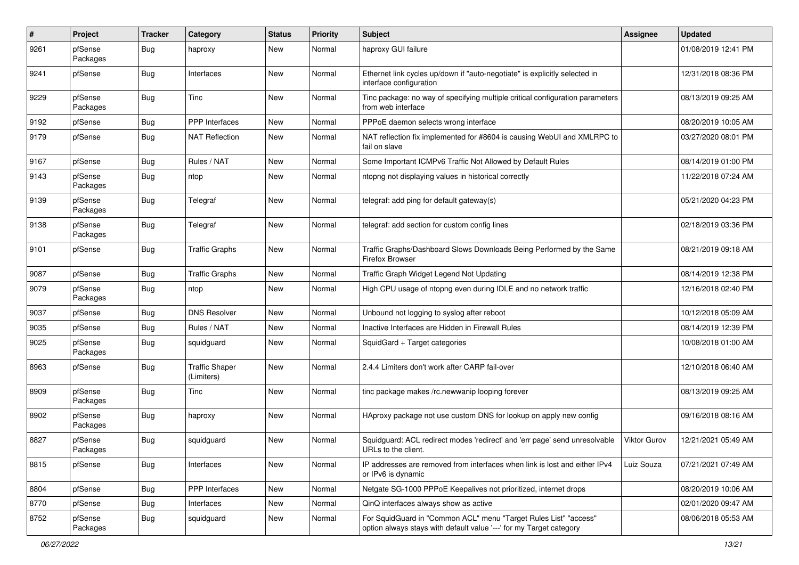| #    | Project             | Tracker    | Category                            | <b>Status</b> | <b>Priority</b> | Subject                                                                                                                                 | Assignee     | <b>Updated</b>      |
|------|---------------------|------------|-------------------------------------|---------------|-----------------|-----------------------------------------------------------------------------------------------------------------------------------------|--------------|---------------------|
| 9261 | pfSense<br>Packages | <b>Bug</b> | haproxy                             | New           | Normal          | haproxy GUI failure                                                                                                                     |              | 01/08/2019 12:41 PM |
| 9241 | pfSense             | <b>Bug</b> | Interfaces                          | New           | Normal          | Ethernet link cycles up/down if "auto-negotiate" is explicitly selected in<br>interface configuration                                   |              | 12/31/2018 08:36 PM |
| 9229 | pfSense<br>Packages | <b>Bug</b> | Tinc                                | New           | Normal          | Tinc package: no way of specifying multiple critical configuration parameters<br>from web interface                                     |              | 08/13/2019 09:25 AM |
| 9192 | pfSense             | <b>Bug</b> | PPP Interfaces                      | New           | Normal          | PPPoE daemon selects wrong interface                                                                                                    |              | 08/20/2019 10:05 AM |
| 9179 | pfSense             | Bug        | <b>NAT Reflection</b>               | New           | Normal          | NAT reflection fix implemented for #8604 is causing WebUI and XMLRPC to<br>fail on slave                                                |              | 03/27/2020 08:01 PM |
| 9167 | pfSense             | <b>Bug</b> | Rules / NAT                         | New           | Normal          | Some Important ICMPv6 Traffic Not Allowed by Default Rules                                                                              |              | 08/14/2019 01:00 PM |
| 9143 | pfSense<br>Packages | <b>Bug</b> | ntop                                | New           | Normal          | ntopng not displaying values in historical correctly                                                                                    |              | 11/22/2018 07:24 AM |
| 9139 | pfSense<br>Packages | <b>Bug</b> | Telegraf                            | New           | Normal          | telegraf: add ping for default gateway(s)                                                                                               |              | 05/21/2020 04:23 PM |
| 9138 | pfSense<br>Packages | <b>Bug</b> | Telegraf                            | New           | Normal          | telegraf: add section for custom config lines                                                                                           |              | 02/18/2019 03:36 PM |
| 9101 | pfSense             | <b>Bug</b> | <b>Traffic Graphs</b>               | New           | Normal          | Traffic Graphs/Dashboard Slows Downloads Being Performed by the Same<br>Firefox Browser                                                 |              | 08/21/2019 09:18 AM |
| 9087 | pfSense             | Bug        | <b>Traffic Graphs</b>               | New           | Normal          | Traffic Graph Widget Legend Not Updating                                                                                                |              | 08/14/2019 12:38 PM |
| 9079 | pfSense<br>Packages | <b>Bug</b> | ntop                                | New           | Normal          | High CPU usage of ntopng even during IDLE and no network traffic                                                                        |              | 12/16/2018 02:40 PM |
| 9037 | pfSense             | <b>Bug</b> | <b>DNS Resolver</b>                 | New           | Normal          | Unbound not logging to syslog after reboot                                                                                              |              | 10/12/2018 05:09 AM |
| 9035 | pfSense             | <b>Bug</b> | Rules / NAT                         | New           | Normal          | Inactive Interfaces are Hidden in Firewall Rules                                                                                        |              | 08/14/2019 12:39 PM |
| 9025 | pfSense<br>Packages | <b>Bug</b> | squidguard                          | New           | Normal          | SquidGard + Target categories                                                                                                           |              | 10/08/2018 01:00 AM |
| 8963 | pfSense             | <b>Bug</b> | <b>Traffic Shaper</b><br>(Limiters) | New           | Normal          | 2.4.4 Limiters don't work after CARP fail-over                                                                                          |              | 12/10/2018 06:40 AM |
| 8909 | pfSense<br>Packages | <b>Bug</b> | <b>Tinc</b>                         | New           | Normal          | tinc package makes /rc.newwanip looping forever                                                                                         |              | 08/13/2019 09:25 AM |
| 8902 | pfSense<br>Packages | <b>Bug</b> | haproxy                             | New           | Normal          | HAproxy package not use custom DNS for lookup on apply new config                                                                       |              | 09/16/2018 08:16 AM |
| 8827 | pfSense<br>Packages | Bug        | squidguard                          | New           | Normal          | Squidguard: ACL redirect modes 'redirect' and 'err page' send unresolvable<br>URLs to the client.                                       | Viktor Gurov | 12/21/2021 05:49 AM |
| 8815 | pfSense             | Bug        | Interfaces                          | New           | Normal          | IP addresses are removed from interfaces when link is lost and either IPv4<br>or IPv6 is dynamic                                        | Luiz Souza   | 07/21/2021 07:49 AM |
| 8804 | pfSense             | <b>Bug</b> | <b>PPP</b> Interfaces               | New           | Normal          | Netgate SG-1000 PPPoE Keepalives not prioritized, internet drops                                                                        |              | 08/20/2019 10:06 AM |
| 8770 | pfSense             | <b>Bug</b> | Interfaces                          | New           | Normal          | QinQ interfaces always show as active                                                                                                   |              | 02/01/2020 09:47 AM |
| 8752 | pfSense<br>Packages | Bug        | squidguard                          | New           | Normal          | For SquidGuard in "Common ACL" menu "Target Rules List" "access"<br>option always stays with default value '---' for my Target category |              | 08/06/2018 05:53 AM |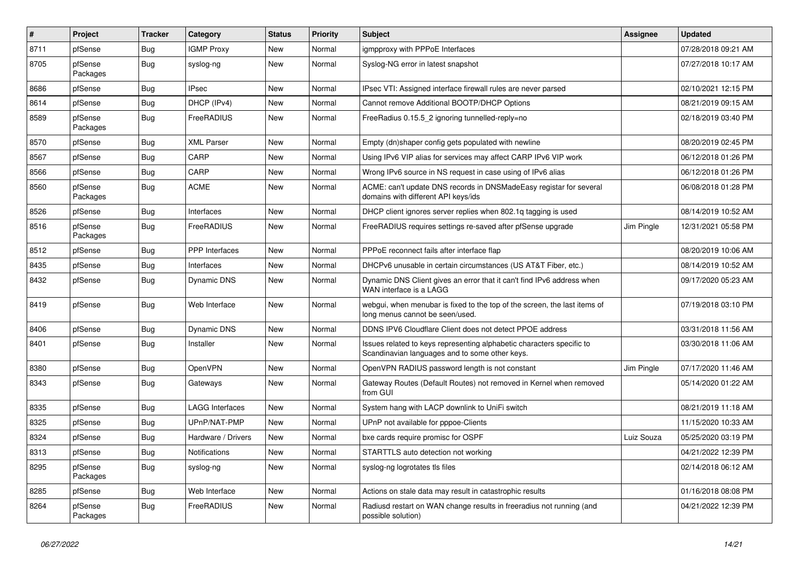| $\vert$ # | <b>Project</b>      | <b>Tracker</b> | Category              | <b>Status</b> | <b>Priority</b> | <b>Subject</b>                                                                                                          | Assignee   | <b>Updated</b>      |
|-----------|---------------------|----------------|-----------------------|---------------|-----------------|-------------------------------------------------------------------------------------------------------------------------|------------|---------------------|
| 8711      | pfSense             | <b>Bug</b>     | <b>IGMP Proxy</b>     | New           | Normal          | igmpproxy with PPPoE Interfaces                                                                                         |            | 07/28/2018 09:21 AM |
| 8705      | pfSense<br>Packages | <b>Bug</b>     | syslog-ng             | New           | Normal          | Syslog-NG error in latest snapshot                                                                                      |            | 07/27/2018 10:17 AM |
| 8686      | pfSense             | Bug            | <b>IPsec</b>          | New           | Normal          | IPsec VTI: Assigned interface firewall rules are never parsed                                                           |            | 02/10/2021 12:15 PM |
| 8614      | pfSense             | Bug            | DHCP (IPv4)           | <b>New</b>    | Normal          | Cannot remove Additional BOOTP/DHCP Options                                                                             |            | 08/21/2019 09:15 AM |
| 8589      | pfSense<br>Packages | Bug            | FreeRADIUS            | New           | Normal          | FreeRadius 0.15.5 2 ignoring tunnelled-reply=no                                                                         |            | 02/18/2019 03:40 PM |
| 8570      | pfSense             | <b>Bug</b>     | <b>XML Parser</b>     | New           | Normal          | Empty (dn)shaper config gets populated with newline                                                                     |            | 08/20/2019 02:45 PM |
| 8567      | pfSense             | <b>Bug</b>     | CARP                  | New           | Normal          | Using IPv6 VIP alias for services may affect CARP IPv6 VIP work                                                         |            | 06/12/2018 01:26 PM |
| 8566      | pfSense             | <b>Bug</b>     | CARP                  | New           | Normal          | Wrong IPv6 source in NS request in case using of IPv6 alias                                                             |            | 06/12/2018 01:26 PM |
| 8560      | pfSense<br>Packages | Bug            | <b>ACME</b>           | New           | Normal          | ACME: can't update DNS records in DNSMadeEasy registar for several<br>domains with different API keys/ids               |            | 06/08/2018 01:28 PM |
| 8526      | pfSense             | <b>Bug</b>     | Interfaces            | <b>New</b>    | Normal          | DHCP client ignores server replies when 802.1q tagging is used                                                          |            | 08/14/2019 10:52 AM |
| 8516      | pfSense<br>Packages | <b>Bug</b>     | FreeRADIUS            | New           | Normal          | FreeRADIUS requires settings re-saved after pfSense upgrade                                                             | Jim Pingle | 12/31/2021 05:58 PM |
| 8512      | pfSense             | <b>Bug</b>     | <b>PPP</b> Interfaces | New           | Normal          | PPPoE reconnect fails after interface flap                                                                              |            | 08/20/2019 10:06 AM |
| 8435      | pfSense             | <b>Bug</b>     | Interfaces            | New           | Normal          | DHCPv6 unusable in certain circumstances (US AT&T Fiber, etc.)                                                          |            | 08/14/2019 10:52 AM |
| 8432      | pfSense             | <b>Bug</b>     | <b>Dynamic DNS</b>    | New           | Normal          | Dynamic DNS Client gives an error that it can't find IPv6 address when<br>WAN interface is a LAGG                       |            | 09/17/2020 05:23 AM |
| 8419      | pfSense             | Bug            | Web Interface         | New           | Normal          | webgui, when menubar is fixed to the top of the screen, the last items of<br>long menus cannot be seen/used.            |            | 07/19/2018 03:10 PM |
| 8406      | pfSense             | <b>Bug</b>     | Dynamic DNS           | <b>New</b>    | Normal          | DDNS IPV6 Cloudflare Client does not detect PPOE address                                                                |            | 03/31/2018 11:56 AM |
| 8401      | pfSense             | Bug            | Installer             | New           | Normal          | Issues related to keys representing alphabetic characters specific to<br>Scandinavian languages and to some other keys. |            | 03/30/2018 11:06 AM |
| 8380      | pfSense             | Bug            | OpenVPN               | <b>New</b>    | Normal          | OpenVPN RADIUS password length is not constant                                                                          | Jim Pingle | 07/17/2020 11:46 AM |
| 8343      | pfSense             | Bug            | Gateways              | <b>New</b>    | Normal          | Gateway Routes (Default Routes) not removed in Kernel when removed<br>from GUI                                          |            | 05/14/2020 01:22 AM |
| 8335      | pfSense             | <b>Bug</b>     | LAGG Interfaces       | <b>New</b>    | Normal          | System hang with LACP downlink to UniFi switch                                                                          |            | 08/21/2019 11:18 AM |
| 8325      | pfSense             | <b>Bug</b>     | UPnP/NAT-PMP          | New           | Normal          | UPnP not available for pppoe-Clients                                                                                    |            | 11/15/2020 10:33 AM |
| 8324      | pfSense             | <b>Bug</b>     | Hardware / Drivers    | New           | Normal          | bxe cards require promisc for OSPF                                                                                      | Luiz Souza | 05/25/2020 03:19 PM |
| 8313      | pfSense             | <b>Bug</b>     | Notifications         | New           | Normal          | STARTTLS auto detection not working                                                                                     |            | 04/21/2022 12:39 PM |
| 8295      | pfSense<br>Packages | Bug            | syslog-ng             | New           | Normal          | syslog-ng logrotates tls files                                                                                          |            | 02/14/2018 06:12 AM |
| 8285      | pfSense             | <b>Bug</b>     | Web Interface         | New           | Normal          | Actions on stale data may result in catastrophic results                                                                |            | 01/16/2018 08:08 PM |
| 8264      | pfSense<br>Packages | <b>Bug</b>     | FreeRADIUS            | New           | Normal          | Radiusd restart on WAN change results in freeradius not running (and<br>possible solution)                              |            | 04/21/2022 12:39 PM |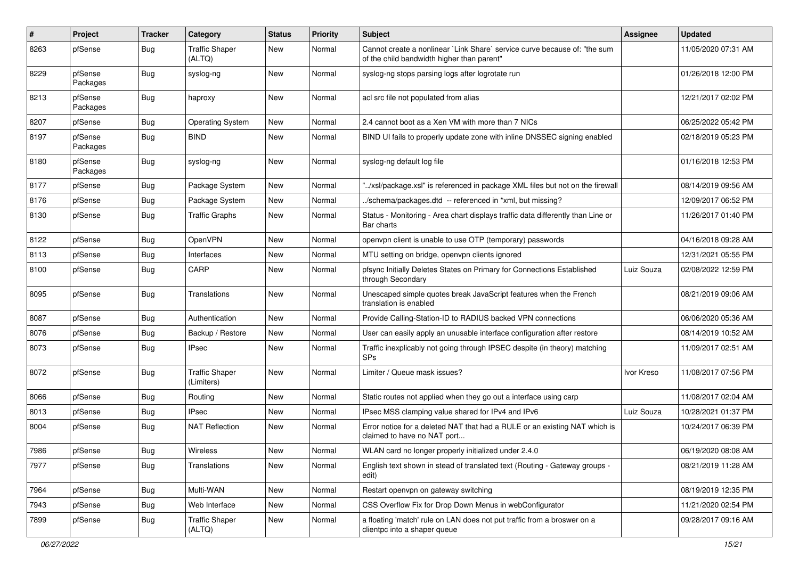| $\#$ | Project             | <b>Tracker</b> | Category                            | <b>Status</b> | <b>Priority</b> | <b>Subject</b>                                                                                                          | Assignee   | <b>Updated</b>      |
|------|---------------------|----------------|-------------------------------------|---------------|-----------------|-------------------------------------------------------------------------------------------------------------------------|------------|---------------------|
| 8263 | pfSense             | <b>Bug</b>     | <b>Traffic Shaper</b><br>(ALTQ)     | New           | Normal          | Cannot create a nonlinear `Link Share` service curve because of: "the sum<br>of the child bandwidth higher than parent" |            | 11/05/2020 07:31 AM |
| 8229 | pfSense<br>Packages | Bug            | syslog-ng                           | New           | Normal          | syslog-ng stops parsing logs after logrotate run                                                                        |            | 01/26/2018 12:00 PM |
| 8213 | pfSense<br>Packages | Bug            | haproxy                             | New           | Normal          | acl src file not populated from alias                                                                                   |            | 12/21/2017 02:02 PM |
| 8207 | pfSense             | Bug            | <b>Operating System</b>             | New           | Normal          | 2.4 cannot boot as a Xen VM with more than 7 NICs                                                                       |            | 06/25/2022 05:42 PM |
| 8197 | pfSense<br>Packages | Bug            | <b>BIND</b>                         | New           | Normal          | BIND UI fails to properly update zone with inline DNSSEC signing enabled                                                |            | 02/18/2019 05:23 PM |
| 8180 | pfSense<br>Packages | Bug            | syslog-ng                           | New           | Normal          | syslog-ng default log file                                                                                              |            | 01/16/2018 12:53 PM |
| 8177 | pfSense             | Bug            | Package System                      | New           | Normal          | '/xsl/package.xsl" is referenced in package XML files but not on the firewall                                           |            | 08/14/2019 09:56 AM |
| 8176 | pfSense             | Bug            | Package System                      | New           | Normal          | ./schema/packages.dtd -- referenced in *xml, but missing?                                                               |            | 12/09/2017 06:52 PM |
| 8130 | pfSense             | Bug            | <b>Traffic Graphs</b>               | New           | Normal          | Status - Monitoring - Area chart displays traffic data differently than Line or<br>Bar charts                           |            | 11/26/2017 01:40 PM |
| 8122 | pfSense             | Bug            | OpenVPN                             | <b>New</b>    | Normal          | openvpn client is unable to use OTP (temporary) passwords                                                               |            | 04/16/2018 09:28 AM |
| 8113 | pfSense             | Bug            | Interfaces                          | New           | Normal          | MTU setting on bridge, openvpn clients ignored                                                                          |            | 12/31/2021 05:55 PM |
| 8100 | pfSense             | <b>Bug</b>     | CARP                                | New           | Normal          | pfsync Initially Deletes States on Primary for Connections Established<br>through Secondary                             | Luiz Souza | 02/08/2022 12:59 PM |
| 8095 | pfSense             | Bug            | Translations                        | New           | Normal          | Unescaped simple quotes break JavaScript features when the French<br>translation is enabled                             |            | 08/21/2019 09:06 AM |
| 8087 | pfSense             | Bug            | Authentication                      | New           | Normal          | Provide Calling-Station-ID to RADIUS backed VPN connections                                                             |            | 06/06/2020 05:36 AM |
| 8076 | pfSense             | Bug            | Backup / Restore                    | New           | Normal          | User can easily apply an unusable interface configuration after restore                                                 |            | 08/14/2019 10:52 AM |
| 8073 | pfSense             | Bug            | <b>IPsec</b>                        | New           | Normal          | Traffic inexplicably not going through IPSEC despite (in theory) matching<br><b>SPs</b>                                 |            | 11/09/2017 02:51 AM |
| 8072 | pfSense             | Bug            | <b>Traffic Shaper</b><br>(Limiters) | New           | Normal          | Limiter / Queue mask issues?                                                                                            | Ivor Kreso | 11/08/2017 07:56 PM |
| 8066 | pfSense             | Bug            | Routing                             | New           | Normal          | Static routes not applied when they go out a interface using carp                                                       |            | 11/08/2017 02:04 AM |
| 8013 | pfSense             | <b>Bug</b>     | <b>IPsec</b>                        | New           | Normal          | IPsec MSS clamping value shared for IPv4 and IPv6                                                                       | Luiz Souza | 10/28/2021 01:37 PM |
| 8004 | pfSense             | Bug            | <b>NAT Reflection</b>               | New           | Normal          | Error notice for a deleted NAT that had a RULE or an existing NAT which is<br>claimed to have no NAT port               |            | 10/24/2017 06:39 PM |
| 7986 | pfSense             | Bug            | Wireless                            | New           | Normal          | WLAN card no longer properly initialized under 2.4.0                                                                    |            | 06/19/2020 08:08 AM |
| 7977 | pfSense             | <b>Bug</b>     | Translations                        | New           | Normal          | English text shown in stead of translated text (Routing - Gateway groups -<br>edit)                                     |            | 08/21/2019 11:28 AM |
| 7964 | pfSense             | Bug            | Multi-WAN                           | New           | Normal          | Restart openvpn on gateway switching                                                                                    |            | 08/19/2019 12:35 PM |
| 7943 | pfSense             | <b>Bug</b>     | Web Interface                       | New           | Normal          | CSS Overflow Fix for Drop Down Menus in webConfigurator                                                                 |            | 11/21/2020 02:54 PM |
| 7899 | pfSense             | <b>Bug</b>     | <b>Traffic Shaper</b><br>(ALTQ)     | New           | Normal          | a floating 'match' rule on LAN does not put traffic from a broswer on a<br>clientpc into a shaper queue                 |            | 09/28/2017 09:16 AM |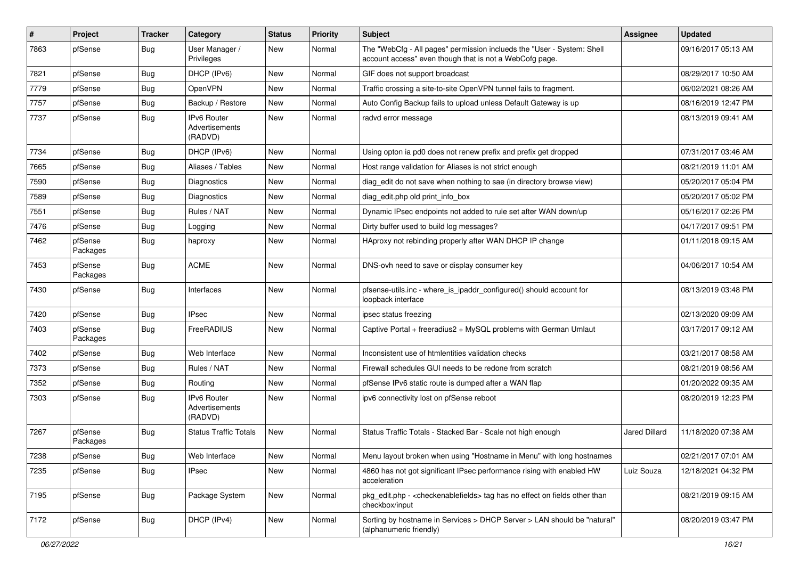| #    | Project             | <b>Tracker</b> | Category                                        | <b>Status</b> | <b>Priority</b> | <b>Subject</b>                                                                                                                    | Assignee      | <b>Updated</b>      |
|------|---------------------|----------------|-------------------------------------------------|---------------|-----------------|-----------------------------------------------------------------------------------------------------------------------------------|---------------|---------------------|
| 7863 | pfSense             | <b>Bug</b>     | User Manager /<br>Privileges                    | New           | Normal          | The "WebCfg - All pages" permission inclueds the "User - System: Shell<br>account access" even though that is not a WebCofg page. |               | 09/16/2017 05:13 AM |
| 7821 | pfSense             | Bug            | DHCP (IPv6)                                     | New           | Normal          | GIF does not support broadcast                                                                                                    |               | 08/29/2017 10:50 AM |
| 7779 | pfSense             | <b>Bug</b>     | OpenVPN                                         | New           | Normal          | Traffic crossing a site-to-site OpenVPN tunnel fails to fragment.                                                                 |               | 06/02/2021 08:26 AM |
| 7757 | pfSense             | <b>Bug</b>     | Backup / Restore                                | New           | Normal          | Auto Config Backup fails to upload unless Default Gateway is up                                                                   |               | 08/16/2019 12:47 PM |
| 7737 | pfSense             | <b>Bug</b>     | IPv6 Router<br>Advertisements<br>(RADVD)        | New           | Normal          | radvd error message                                                                                                               |               | 08/13/2019 09:41 AM |
| 7734 | pfSense             | Bug            | DHCP (IPv6)                                     | <b>New</b>    | Normal          | Using opton ia pd0 does not renew prefix and prefix get dropped                                                                   |               | 07/31/2017 03:46 AM |
| 7665 | pfSense             | <b>Bug</b>     | Aliases / Tables                                | New           | Normal          | Host range validation for Aliases is not strict enough                                                                            |               | 08/21/2019 11:01 AM |
| 7590 | pfSense             | <b>Bug</b>     | Diagnostics                                     | New           | Normal          | diag edit do not save when nothing to sae (in directory browse view)                                                              |               | 05/20/2017 05:04 PM |
| 7589 | pfSense             | <b>Bug</b>     | <b>Diagnostics</b>                              | New           | Normal          | diag_edit.php old print_info_box                                                                                                  |               | 05/20/2017 05:02 PM |
| 7551 | pfSense             | <b>Bug</b>     | Rules / NAT                                     | New           | Normal          | Dynamic IPsec endpoints not added to rule set after WAN down/up                                                                   |               | 05/16/2017 02:26 PM |
| 7476 | pfSense             | <b>Bug</b>     | Logging                                         | New           | Normal          | Dirty buffer used to build log messages?                                                                                          |               | 04/17/2017 09:51 PM |
| 7462 | pfSense<br>Packages | <b>Bug</b>     | haproxy                                         | New           | Normal          | HAproxy not rebinding properly after WAN DHCP IP change                                                                           |               | 01/11/2018 09:15 AM |
| 7453 | pfSense<br>Packages | <b>Bug</b>     | <b>ACME</b>                                     | New           | Normal          | DNS-ovh need to save or display consumer key                                                                                      |               | 04/06/2017 10:54 AM |
| 7430 | pfSense             | <b>Bug</b>     | Interfaces                                      | <b>New</b>    | Normal          | pfsense-utils.inc - where is ipaddr configured() should account for<br>loopback interface                                         |               | 08/13/2019 03:48 PM |
| 7420 | pfSense             | Bug            | <b>IPsec</b>                                    | <b>New</b>    | Normal          | ipsec status freezing                                                                                                             |               | 02/13/2020 09:09 AM |
| 7403 | pfSense<br>Packages | <b>Bug</b>     | FreeRADIUS                                      | New           | Normal          | Captive Portal + freeradius2 + MySQL problems with German Umlaut                                                                  |               | 03/17/2017 09:12 AM |
| 7402 | pfSense             | <b>Bug</b>     | Web Interface                                   | New           | Normal          | Inconsistent use of htmlentities validation checks                                                                                |               | 03/21/2017 08:58 AM |
| 7373 | pfSense             | <b>Bug</b>     | Rules / NAT                                     | New           | Normal          | Firewall schedules GUI needs to be redone from scratch                                                                            |               | 08/21/2019 08:56 AM |
| 7352 | pfSense             | <b>Bug</b>     | Routing                                         | New           | Normal          | pfSense IPv6 static route is dumped after a WAN flap                                                                              |               | 01/20/2022 09:35 AM |
| 7303 | pfSense             | <b>Bug</b>     | <b>IPv6 Router</b><br>Advertisements<br>(RADVD) | New           | Normal          | ipv6 connectivity lost on pfSense reboot                                                                                          |               | 08/20/2019 12:23 PM |
| 7267 | pfSense<br>Packages | <b>Bug</b>     | <b>Status Traffic Totals</b>                    | New           | Normal          | Status Traffic Totals - Stacked Bar - Scale not high enough                                                                       | Jared Dillard | 11/18/2020 07:38 AM |
| 7238 | pfSense             | <b>Bug</b>     | Web Interface                                   | New           | Normal          | Menu layout broken when using "Hostname in Menu" with long hostnames                                                              |               | 02/21/2017 07:01 AM |
| 7235 | pfSense             | <b>Bug</b>     | <b>IPsec</b>                                    | New           | Normal          | 4860 has not got significant IPsec performance rising with enabled HW<br>acceleration                                             | Luiz Souza    | 12/18/2021 04:32 PM |
| 7195 | pfSense             | <b>Bug</b>     | Package System                                  | New           | Normal          | pkg_edit.php - < checkenablefields> tag has no effect on fields other than<br>checkbox/input                                      |               | 08/21/2019 09:15 AM |
| 7172 | pfSense             | <b>Bug</b>     | DHCP (IPv4)                                     | New           | Normal          | Sorting by hostname in Services > DHCP Server > LAN should be "natural"<br>(alphanumeric friendly)                                |               | 08/20/2019 03:47 PM |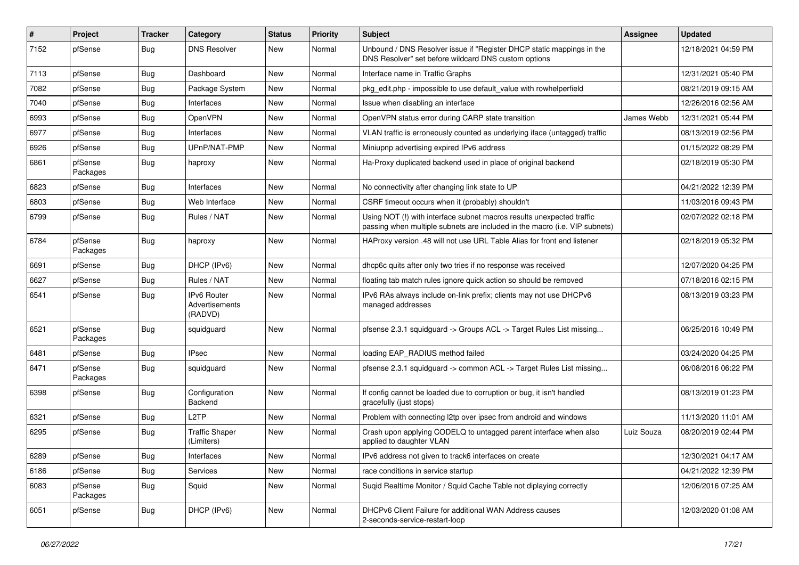| #    | Project             | <b>Tracker</b> | Category                                 | <b>Status</b> | <b>Priority</b> | <b>Subject</b>                                                                                                                                      | <b>Assignee</b> | <b>Updated</b>      |
|------|---------------------|----------------|------------------------------------------|---------------|-----------------|-----------------------------------------------------------------------------------------------------------------------------------------------------|-----------------|---------------------|
| 7152 | pfSense             | Bug            | <b>DNS Resolver</b>                      | New           | Normal          | Unbound / DNS Resolver issue if "Register DHCP static mappings in the<br>DNS Resolver" set before wildcard DNS custom options                       |                 | 12/18/2021 04:59 PM |
| 7113 | pfSense             | <b>Bug</b>     | Dashboard                                | New           | Normal          | Interface name in Traffic Graphs                                                                                                                    |                 | 12/31/2021 05:40 PM |
| 7082 | pfSense             | <b>Bug</b>     | Package System                           | New           | Normal          | pkg_edit.php - impossible to use default_value with rowhelperfield                                                                                  |                 | 08/21/2019 09:15 AM |
| 7040 | pfSense             | Bug            | Interfaces                               | New           | Normal          | Issue when disabling an interface                                                                                                                   |                 | 12/26/2016 02:56 AM |
| 6993 | pfSense             | <b>Bug</b>     | OpenVPN                                  | New           | Normal          | OpenVPN status error during CARP state transition                                                                                                   | James Webb      | 12/31/2021 05:44 PM |
| 6977 | pfSense             | Bug            | Interfaces                               | New           | Normal          | VLAN traffic is erroneously counted as underlying iface (untagged) traffic                                                                          |                 | 08/13/2019 02:56 PM |
| 6926 | pfSense             | Bug            | UPnP/NAT-PMP                             | New           | Normal          | Miniupnp advertising expired IPv6 address                                                                                                           |                 | 01/15/2022 08:29 PM |
| 6861 | pfSense<br>Packages | Bug            | haproxy                                  | New           | Normal          | Ha-Proxy duplicated backend used in place of original backend                                                                                       |                 | 02/18/2019 05:30 PM |
| 6823 | pfSense             | <b>Bug</b>     | Interfaces                               | New           | Normal          | No connectivity after changing link state to UP                                                                                                     |                 | 04/21/2022 12:39 PM |
| 6803 | pfSense             | <b>Bug</b>     | Web Interface                            | New           | Normal          | CSRF timeout occurs when it (probably) shouldn't                                                                                                    |                 | 11/03/2016 09:43 PM |
| 6799 | pfSense             | Bug            | Rules / NAT                              | New           | Normal          | Using NOT (!) with interface subnet macros results unexpected traffic<br>passing when multiple subnets are included in the macro (i.e. VIP subnets) |                 | 02/07/2022 02:18 PM |
| 6784 | pfSense<br>Packages | Bug            | haproxy                                  | New           | Normal          | HAProxy version .48 will not use URL Table Alias for front end listener                                                                             |                 | 02/18/2019 05:32 PM |
| 6691 | pfSense             | Bug            | DHCP (IPv6)                              | <b>New</b>    | Normal          | dhcp6c quits after only two tries if no response was received                                                                                       |                 | 12/07/2020 04:25 PM |
| 6627 | pfSense             | <b>Bug</b>     | Rules / NAT                              | <b>New</b>    | Normal          | floating tab match rules ignore quick action so should be removed                                                                                   |                 | 07/18/2016 02:15 PM |
| 6541 | pfSense             | Bug            | IPv6 Router<br>Advertisements<br>(RADVD) | New           | Normal          | IPv6 RAs always include on-link prefix; clients may not use DHCPv6<br>managed addresses                                                             |                 | 08/13/2019 03:23 PM |
| 6521 | pfSense<br>Packages | Bug            | squidguard                               | <b>New</b>    | Normal          | pfsense 2.3.1 squidguard -> Groups ACL -> Target Rules List missing                                                                                 |                 | 06/25/2016 10:49 PM |
| 6481 | pfSense             | Bug            | <b>IPsec</b>                             | <b>New</b>    | Normal          | loading EAP_RADIUS method failed                                                                                                                    |                 | 03/24/2020 04:25 PM |
| 6471 | pfSense<br>Packages | Bug            | squidguard                               | New           | Normal          | pfsense 2.3.1 squidguard -> common ACL -> Target Rules List missing                                                                                 |                 | 06/08/2016 06:22 PM |
| 6398 | pfSense             | <b>Bug</b>     | Configuration<br>Backend                 | <b>New</b>    | Normal          | If config cannot be loaded due to corruption or bug, it isn't handled<br>gracefully (just stops)                                                    |                 | 08/13/2019 01:23 PM |
| 6321 | pfSense             | <b>Bug</b>     | L <sub>2</sub> TP                        | <b>New</b>    | Normal          | Problem with connecting I2tp over ipsec from android and windows                                                                                    |                 | 11/13/2020 11:01 AM |
| 6295 | pfSense             | Bug            | <b>Traffic Shaper</b><br>(Limiters)      | New           | Normal          | Crash upon applying CODELQ to untagged parent interface when also<br>applied to daughter VLAN                                                       | Luiz Souza      | 08/20/2019 02:44 PM |
| 6289 | pfSense             | Bug            | Interfaces                               | New           | Normal          | IPv6 address not given to track6 interfaces on create                                                                                               |                 | 12/30/2021 04:17 AM |
| 6186 | pfSense             | <b>Bug</b>     | Services                                 | New           | Normal          | race conditions in service startup                                                                                                                  |                 | 04/21/2022 12:39 PM |
| 6083 | pfSense<br>Packages | <b>Bug</b>     | Squid                                    | New           | Normal          | Suqid Realtime Monitor / Squid Cache Table not diplaying correctly                                                                                  |                 | 12/06/2016 07:25 AM |
| 6051 | pfSense             | <b>Bug</b>     | DHCP (IPv6)                              | New           | Normal          | DHCPv6 Client Failure for additional WAN Address causes<br>2-seconds-service-restart-loop                                                           |                 | 12/03/2020 01:08 AM |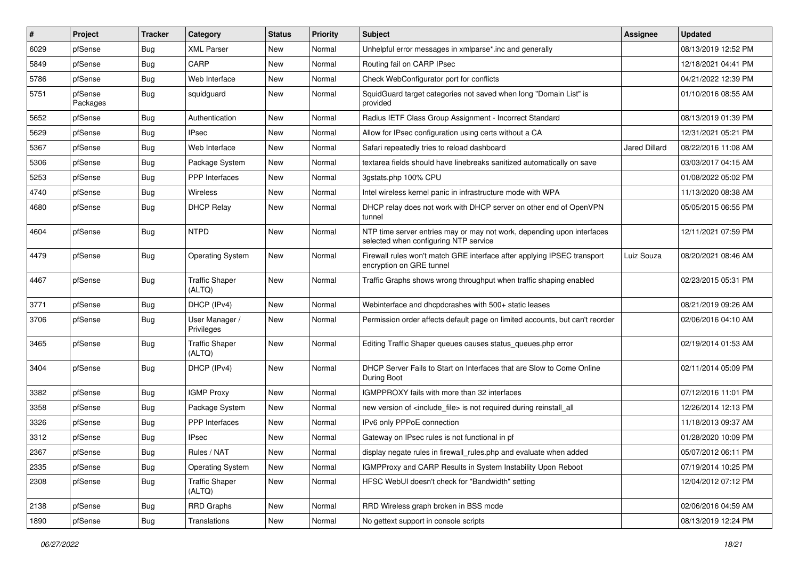| ∦    | Project             | Tracker    | Category                        | <b>Status</b> | <b>Priority</b> | <b>Subject</b>                                                                                                  | Assignee      | <b>Updated</b>      |
|------|---------------------|------------|---------------------------------|---------------|-----------------|-----------------------------------------------------------------------------------------------------------------|---------------|---------------------|
| 6029 | pfSense             | <b>Bug</b> | <b>XML Parser</b>               | New           | Normal          | Unhelpful error messages in xmlparse*.inc and generally                                                         |               | 08/13/2019 12:52 PM |
| 5849 | pfSense             | <b>Bug</b> | CARP                            | New           | Normal          | Routing fail on CARP IPsec                                                                                      |               | 12/18/2021 04:41 PM |
| 5786 | pfSense             | <b>Bug</b> | Web Interface                   | New           | Normal          | Check WebConfigurator port for conflicts                                                                        |               | 04/21/2022 12:39 PM |
| 5751 | pfSense<br>Packages | <b>Bug</b> | squidguard                      | New           | Normal          | SquidGuard target categories not saved when long "Domain List" is<br>provided                                   |               | 01/10/2016 08:55 AM |
| 5652 | pfSense             | <b>Bug</b> | Authentication                  | New           | Normal          | Radius IETF Class Group Assignment - Incorrect Standard                                                         |               | 08/13/2019 01:39 PM |
| 5629 | pfSense             | <b>Bug</b> | <b>IPsec</b>                    | New           | Normal          | Allow for IPsec configuration using certs without a CA                                                          |               | 12/31/2021 05:21 PM |
| 5367 | pfSense             | <b>Bug</b> | Web Interface                   | New           | Normal          | Safari repeatedly tries to reload dashboard                                                                     | Jared Dillard | 08/22/2016 11:08 AM |
| 5306 | pfSense             | <b>Bug</b> | Package System                  | New           | Normal          | textarea fields should have linebreaks sanitized automatically on save                                          |               | 03/03/2017 04:15 AM |
| 5253 | pfSense             | <b>Bug</b> | PPP Interfaces                  | New           | Normal          | 3gstats.php 100% CPU                                                                                            |               | 01/08/2022 05:02 PM |
| 4740 | pfSense             | <b>Bug</b> | Wireless                        | New           | Normal          | Intel wireless kernel panic in infrastructure mode with WPA                                                     |               | 11/13/2020 08:38 AM |
| 4680 | pfSense             | <b>Bug</b> | <b>DHCP Relay</b>               | New           | Normal          | DHCP relay does not work with DHCP server on other end of OpenVPN<br>tunnel                                     |               | 05/05/2015 06:55 PM |
| 4604 | pfSense             | <b>Bug</b> | <b>NTPD</b>                     | New           | Normal          | NTP time server entries may or may not work, depending upon interfaces<br>selected when configuring NTP service |               | 12/11/2021 07:59 PM |
| 4479 | pfSense             | <b>Bug</b> | <b>Operating System</b>         | New           | Normal          | Firewall rules won't match GRE interface after applying IPSEC transport<br>encryption on GRE tunnel             | Luiz Souza    | 08/20/2021 08:46 AM |
| 4467 | pfSense             | <b>Bug</b> | <b>Traffic Shaper</b><br>(ALTQ) | New           | Normal          | Traffic Graphs shows wrong throughput when traffic shaping enabled                                              |               | 02/23/2015 05:31 PM |
| 3771 | pfSense             | <b>Bug</b> | DHCP (IPv4)                     | New           | Normal          | Webinterface and dhcpdcrashes with 500+ static leases                                                           |               | 08/21/2019 09:26 AM |
| 3706 | pfSense             | Bug        | User Manager /<br>Privileges    | New           | Normal          | Permission order affects default page on limited accounts, but can't reorder                                    |               | 02/06/2016 04:10 AM |
| 3465 | pfSense             | <b>Bug</b> | <b>Traffic Shaper</b><br>(ALTQ) | New           | Normal          | Editing Traffic Shaper queues causes status_queues.php error                                                    |               | 02/19/2014 01:53 AM |
| 3404 | pfSense             | <b>Bug</b> | DHCP (IPv4)                     | New           | Normal          | DHCP Server Fails to Start on Interfaces that are Slow to Come Online<br>During Boot                            |               | 02/11/2014 05:09 PM |
| 3382 | pfSense             | <b>Bug</b> | <b>IGMP Proxy</b>               | New           | Normal          | IGMPPROXY fails with more than 32 interfaces                                                                    |               | 07/12/2016 11:01 PM |
| 3358 | pfSense             | <b>Bug</b> | Package System                  | New           | Normal          | new version of <include_file> is not required during reinstall_all</include_file>                               |               | 12/26/2014 12:13 PM |
| 3326 | pfSense             | <b>Bug</b> | PPP Interfaces                  | New           | Normal          | IPv6 only PPPoE connection                                                                                      |               | 11/18/2013 09:37 AM |
| 3312 | pfSense             | Bug        | <b>IPsec</b>                    | New           | Normal          | Gateway on IPsec rules is not functional in pf                                                                  |               | 01/28/2020 10:09 PM |
| 2367 | pfSense             | <b>Bug</b> | Rules / NAT                     | New           | Normal          | display negate rules in firewall_rules.php and evaluate when added                                              |               | 05/07/2012 06:11 PM |
| 2335 | pfSense             | <b>Bug</b> | <b>Operating System</b>         | New           | Normal          | IGMPProxy and CARP Results in System Instability Upon Reboot                                                    |               | 07/19/2014 10:25 PM |
| 2308 | pfSense             | <b>Bug</b> | <b>Traffic Shaper</b><br>(ALTQ) | New           | Normal          | HFSC WebUI doesn't check for "Bandwidth" setting                                                                |               | 12/04/2012 07:12 PM |
| 2138 | pfSense             | <b>Bug</b> | RRD Graphs                      | New           | Normal          | RRD Wireless graph broken in BSS mode                                                                           |               | 02/06/2016 04:59 AM |
| 1890 | pfSense             | Bug        | Translations                    | New           | Normal          | No gettext support in console scripts                                                                           |               | 08/13/2019 12:24 PM |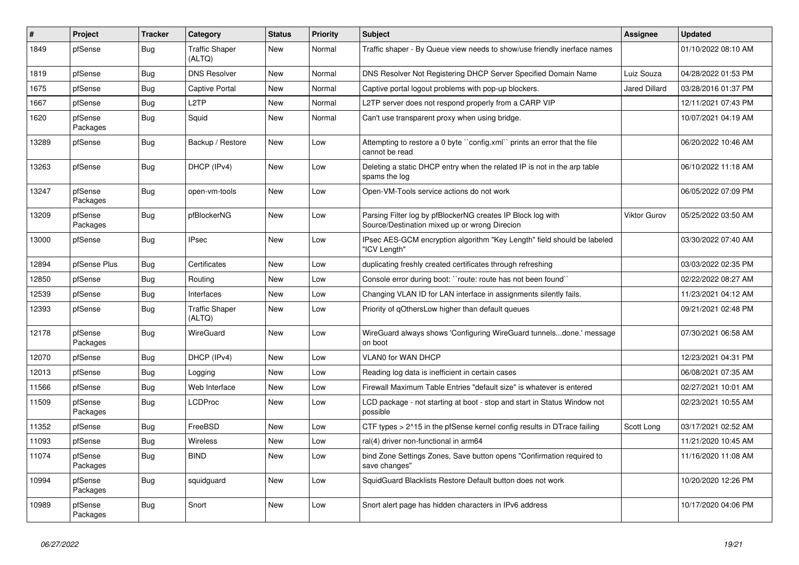| #     | <b>Project</b>      | <b>Tracker</b> | Category                        | <b>Status</b> | Priority | <b>Subject</b>                                                                                               | <b>Assignee</b>      | <b>Updated</b>      |
|-------|---------------------|----------------|---------------------------------|---------------|----------|--------------------------------------------------------------------------------------------------------------|----------------------|---------------------|
| 1849  | pfSense             | <b>Bug</b>     | <b>Traffic Shaper</b><br>(ALTQ) | New           | Normal   | Traffic shaper - By Queue view needs to show/use friendly inerface names                                     |                      | 01/10/2022 08:10 AM |
| 1819  | pfSense             | <b>Bug</b>     | <b>DNS Resolver</b>             | New           | Normal   | DNS Resolver Not Registering DHCP Server Specified Domain Name                                               | Luiz Souza           | 04/28/2022 01:53 PM |
| 1675  | pfSense             | <b>Bug</b>     | <b>Captive Portal</b>           | New           | Normal   | Captive portal logout problems with pop-up blockers.                                                         | <b>Jared Dillard</b> | 03/28/2016 01:37 PM |
| 1667  | pfSense             | Bug            | L <sub>2</sub> TP               | New           | Normal   | L2TP server does not respond properly from a CARP VIP                                                        |                      | 12/11/2021 07:43 PM |
| 1620  | pfSense<br>Packages | Bug            | Squid                           | New           | Normal   | Can't use transparent proxy when using bridge.                                                               |                      | 10/07/2021 04:19 AM |
| 13289 | pfSense             | <b>Bug</b>     | Backup / Restore                | New           | Low      | Attempting to restore a 0 byte "config.xml" prints an error that the file<br>cannot be read                  |                      | 06/20/2022 10:46 AM |
| 13263 | pfSense             | Bug            | DHCP (IPv4)                     | <b>New</b>    | Low      | Deleting a static DHCP entry when the related IP is not in the arp table<br>spams the log                    |                      | 06/10/2022 11:18 AM |
| 13247 | pfSense<br>Packages | <b>Bug</b>     | open-vm-tools                   | New           | Low      | Open-VM-Tools service actions do not work                                                                    |                      | 06/05/2022 07:09 PM |
| 13209 | pfSense<br>Packages | <b>Bug</b>     | pfBlockerNG                     | New           | Low      | Parsing Filter log by pfBlockerNG creates IP Block log with<br>Source/Destination mixed up or wrong Direcion | Viktor Gurov         | 05/25/2022 03:50 AM |
| 13000 | pfSense             | <b>Bug</b>     | <b>IPsec</b>                    | <b>New</b>    | Low      | IPsec AES-GCM encryption algorithm "Key Length" field should be labeled<br>"ICV Length"                      |                      | 03/30/2022 07:40 AM |
| 12894 | pfSense Plus        | Bug            | Certificates                    | <b>New</b>    | Low      | duplicating freshly created certificates through refreshing                                                  |                      | 03/03/2022 02:35 PM |
| 12850 | pfSense             | <b>Bug</b>     | Routing                         | New           | Low      | Console error during boot: "route: route has not been found"                                                 |                      | 02/22/2022 08:27 AM |
| 12539 | pfSense             | <b>Bug</b>     | Interfaces                      | <b>New</b>    | Low      | Changing VLAN ID for LAN interface in assignments silently fails.                                            |                      | 11/23/2021 04:12 AM |
| 12393 | pfSense             | <b>Bug</b>     | <b>Traffic Shaper</b><br>(ALTQ) | New           | Low      | Priority of gOthersLow higher than default queues                                                            |                      | 09/21/2021 02:48 PM |
| 12178 | pfSense<br>Packages | Bug            | WireGuard                       | New           | Low      | WireGuard always shows 'Configuring WireGuard tunnelsdone.' message<br>on boot                               |                      | 07/30/2021 06:58 AM |
| 12070 | pfSense             | Bug            | DHCP (IPv4)                     | New           | Low      | <b>VLANO for WAN DHCP</b>                                                                                    |                      | 12/23/2021 04:31 PM |
| 12013 | pfSense             | Bug            | Logging                         | New           | Low      | Reading log data is inefficient in certain cases                                                             |                      | 06/08/2021 07:35 AM |
| 11566 | pfSense             | <b>Bug</b>     | Web Interface                   | New           | Low      | Firewall Maximum Table Entries "default size" is whatever is entered                                         |                      | 02/27/2021 10:01 AM |
| 11509 | pfSense<br>Packages | <b>Bug</b>     | <b>LCDProc</b>                  | New           | Low      | LCD package - not starting at boot - stop and start in Status Window not<br>possible                         |                      | 02/23/2021 10:55 AM |
| 11352 | pfSense             | <b>Bug</b>     | FreeBSD                         | <b>New</b>    | Low      | CTF types > 2^15 in the pfSense kernel config results in DTrace failing                                      | Scott Long           | 03/17/2021 02:52 AM |
| 11093 | pfSense             | <b>Bug</b>     | Wireless                        | <b>New</b>    | Low      | ral(4) driver non-functional in arm64                                                                        |                      | 11/21/2020 10:45 AM |
| 11074 | pfSense<br>Packages | <b>Bug</b>     | <b>BIND</b>                     | New           | Low      | bind Zone Settings Zones, Save button opens "Confirmation required to<br>save changes"                       |                      | 11/16/2020 11:08 AM |
| 10994 | pfSense<br>Packages | Bug            | squidguard                      | <b>New</b>    | Low      | SquidGuard Blacklists Restore Default button does not work                                                   |                      | 10/20/2020 12:26 PM |
| 10989 | pfSense<br>Packages | Bug            | Snort                           | New           | Low      | Snort alert page has hidden characters in IPv6 address                                                       |                      | 10/17/2020 04:06 PM |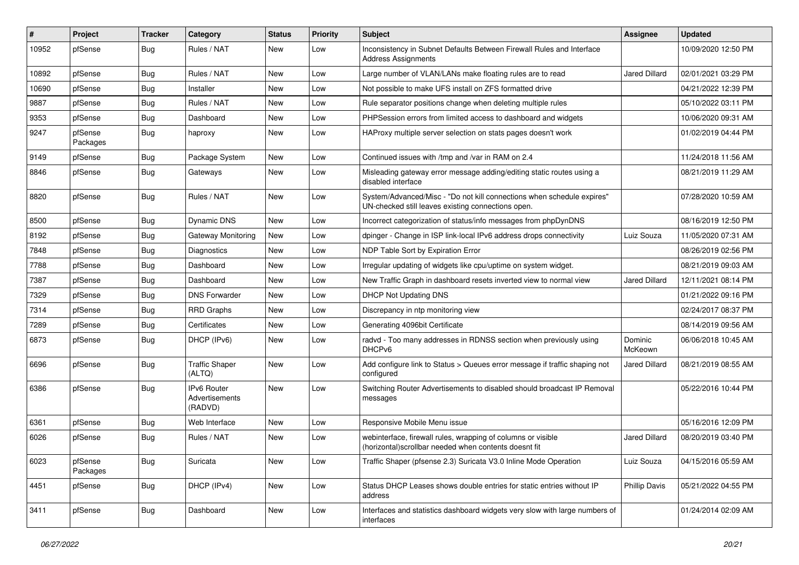| ∦     | Project             | Tracker    | Category                                        | <b>Status</b> | <b>Priority</b> | <b>Subject</b>                                                                                                               | Assignee             | <b>Updated</b>      |
|-------|---------------------|------------|-------------------------------------------------|---------------|-----------------|------------------------------------------------------------------------------------------------------------------------------|----------------------|---------------------|
| 10952 | pfSense             | <b>Bug</b> | Rules / NAT                                     | New           | Low             | Inconsistency in Subnet Defaults Between Firewall Rules and Interface<br><b>Address Assignments</b>                          |                      | 10/09/2020 12:50 PM |
| 10892 | pfSense             | <b>Bug</b> | Rules / NAT                                     | New           | Low             | Large number of VLAN/LANs make floating rules are to read                                                                    | <b>Jared Dillard</b> | 02/01/2021 03:29 PM |
| 10690 | pfSense             | Bug        | Installer                                       | <b>New</b>    | Low             | Not possible to make UFS install on ZFS formatted drive                                                                      |                      | 04/21/2022 12:39 PM |
| 9887  | pfSense             | <b>Bug</b> | Rules / NAT                                     | New           | Low             | Rule separator positions change when deleting multiple rules                                                                 |                      | 05/10/2022 03:11 PM |
| 9353  | pfSense             | <b>Bug</b> | Dashboard                                       | New           | Low             | PHPSession errors from limited access to dashboard and widgets                                                               |                      | 10/06/2020 09:31 AM |
| 9247  | pfSense<br>Packages | <b>Bug</b> | haproxy                                         | New           | Low             | HAProxy multiple server selection on stats pages doesn't work                                                                |                      | 01/02/2019 04:44 PM |
| 9149  | pfSense             | <b>Bug</b> | Package System                                  | <b>New</b>    | Low             | Continued issues with /tmp and /var in RAM on 2.4                                                                            |                      | 11/24/2018 11:56 AM |
| 8846  | pfSense             | <b>Bug</b> | Gateways                                        | New           | Low             | Misleading gateway error message adding/editing static routes using a<br>disabled interface                                  |                      | 08/21/2019 11:29 AM |
| 8820  | pfSense             | <b>Bug</b> | Rules / NAT                                     | <b>New</b>    | Low             | System/Advanced/Misc - "Do not kill connections when schedule expires"<br>UN-checked still leaves existing connections open. |                      | 07/28/2020 10:59 AM |
| 8500  | pfSense             | <b>Bug</b> | <b>Dynamic DNS</b>                              | New           | Low             | Incorrect categorization of status/info messages from phpDynDNS                                                              |                      | 08/16/2019 12:50 PM |
| 8192  | pfSense             | <b>Bug</b> | <b>Gateway Monitoring</b>                       | New           | Low             | dpinger - Change in ISP link-local IPv6 address drops connectivity                                                           | Luiz Souza           | 11/05/2020 07:31 AM |
| 7848  | pfSense             | <b>Bug</b> | Diagnostics                                     | <b>New</b>    | Low             | NDP Table Sort by Expiration Error                                                                                           |                      | 08/26/2019 02:56 PM |
| 7788  | pfSense             | <b>Bug</b> | Dashboard                                       | New           | Low             | Irregular updating of widgets like cpu/uptime on system widget.                                                              |                      | 08/21/2019 09:03 AM |
| 7387  | pfSense             | <b>Bug</b> | Dashboard                                       | <b>New</b>    | Low             | New Traffic Graph in dashboard resets inverted view to normal view                                                           | <b>Jared Dillard</b> | 12/11/2021 08:14 PM |
| 7329  | pfSense             | <b>Bug</b> | <b>DNS Forwarder</b>                            | New           | Low             | <b>DHCP Not Updating DNS</b>                                                                                                 |                      | 01/21/2022 09:16 PM |
| 7314  | pfSense             | <b>Bug</b> | <b>RRD Graphs</b>                               | <b>New</b>    | Low             | Discrepancy in ntp monitoring view                                                                                           |                      | 02/24/2017 08:37 PM |
| 7289  | pfSense             | <b>Bug</b> | Certificates                                    | <b>New</b>    | Low             | Generating 4096bit Certificate                                                                                               |                      | 08/14/2019 09:56 AM |
| 6873  | pfSense             | <b>Bug</b> | DHCP (IPv6)                                     | New           | Low             | radvd - Too many addresses in RDNSS section when previously using<br>DHCPv6                                                  | Dominic<br>McKeown   | 06/06/2018 10:45 AM |
| 6696  | pfSense             | <b>Bug</b> | <b>Traffic Shaper</b><br>(ALTQ)                 | <b>New</b>    | Low             | Add configure link to Status > Queues error message if traffic shaping not<br>configured                                     | <b>Jared Dillard</b> | 08/21/2019 08:55 AM |
| 6386  | pfSense             | <b>Bug</b> | <b>IPv6 Router</b><br>Advertisements<br>(RADVD) | <b>New</b>    | Low             | Switching Router Advertisements to disabled should broadcast IP Removal<br>messages                                          |                      | 05/22/2016 10:44 PM |
| 6361  | pfSense             | <b>Bug</b> | Web Interface                                   | New           | Low             | Responsive Mobile Menu issue                                                                                                 |                      | 05/16/2016 12:09 PM |
| 6026  | pfSense             | <b>Bug</b> | Rules / NAT                                     | New           | Low             | webinterface, firewall rules, wrapping of columns or visible<br>(horizontal) scrollbar needed when contents doesnt fit       | Jared Dillard        | 08/20/2019 03:40 PM |
| 6023  | pfSense<br>Packages | <b>Bug</b> | Suricata                                        | New           | Low             | Traffic Shaper (pfsense 2.3) Suricata V3.0 Inline Mode Operation                                                             | Luiz Souza           | 04/15/2016 05:59 AM |
| 4451  | pfSense             | <b>Bug</b> | DHCP (IPv4)                                     | New           | Low             | Status DHCP Leases shows double entries for static entries without IP<br>address                                             | <b>Phillip Davis</b> | 05/21/2022 04:55 PM |
| 3411  | pfSense             | Bug        | Dashboard                                       | New           | Low             | Interfaces and statistics dashboard widgets very slow with large numbers of<br>interfaces                                    |                      | 01/24/2014 02:09 AM |